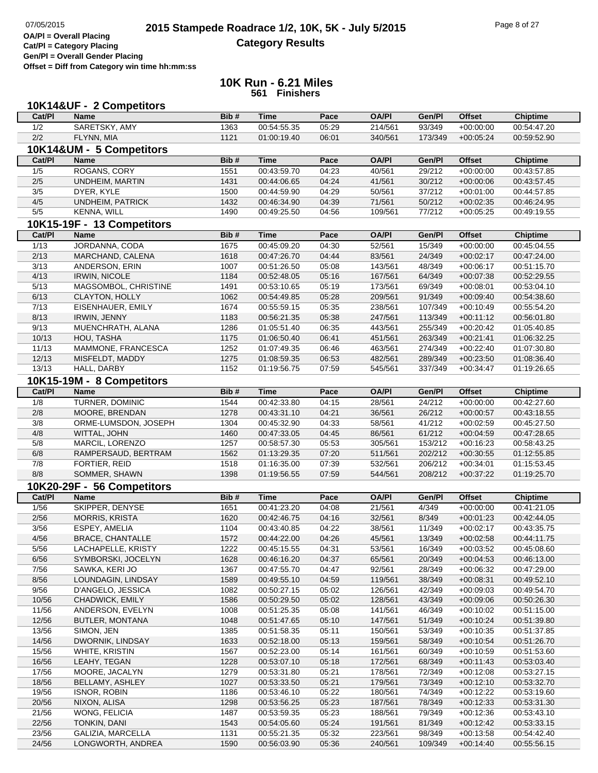**Cat/Pl = Category Placing Gen/Pl = Overall Gender Placing**

**Offset = Diff from Category win time hh:mm:ss**

|                | 10K14&UF - 2 Competitors             |              |                            |                |                    |                    |                            |                                |
|----------------|--------------------------------------|--------------|----------------------------|----------------|--------------------|--------------------|----------------------------|--------------------------------|
| Cat/PI         | <b>Name</b>                          | Bib#         | <b>Time</b>                | Pace           | <b>OA/PI</b>       | Gen/Pl             | <b>Offset</b>              | <b>Chiptime</b>                |
| 1/2            | SARETSKY, AMY                        | 1363         | 00:54:55.35                | 05:29          | 214/561            | 93/349             | $+00:00:00$                | 00:54:47.20                    |
| 2/2            | FLYNN, MIA                           | 1121         | 01:00:19.40                | 06:01          | 340/561            | 173/349            | $+00.05:24$                | 00:59:52.90                    |
|                | 10K14&UM - 5 Competitors             |              |                            |                |                    |                    |                            |                                |
| Cat/PI         | <b>Name</b>                          | Bib#         | <b>Time</b>                | Pace           | <b>OA/PI</b>       | Gen/Pl             | <b>Offset</b>              | <b>Chiptime</b>                |
| 1/5            | ROGANS, CORY                         | 1551         | 00:43:59.70                | 04:23          | 40/561             | 29/212             | $+00:00:00$                | 00:43:57.85                    |
| 2/5            | UNDHEIM, MARTIN                      | 1431         | 00:44:06.65                | 04:24          | 41/561             | 30/212             | $+00.00.06$                | 00:43:57.45                    |
| 3/5            | DYER, KYLE                           | 1500         | 00:44:59.90                | 04:29          | 50/561             | 37/212             | $+00:01:00$                | 00:44:57.85                    |
| 4/5            | UNDHEIM, PATRICK                     | 1432         | 00:46:34.90                | 04:39          | 71/561             | 50/212             | $+00:02:35$                | 00:46:24.95                    |
| 5/5            | <b>KENNA, WILL</b>                   | 1490         | 00:49:25.50                | 04:56          | 109/561            | 77/212             | $+00:05:25$                | 00:49:19.55                    |
|                | 10K15-19F - 13 Competitors           |              |                            |                |                    |                    |                            |                                |
| Cat/PI         | <b>Name</b>                          | Bib#         | <b>Time</b>                | Pace           | <b>OA/PI</b>       | Gen/Pl             | <b>Offset</b>              |                                |
| 1/13           | JORDANNA, CODA                       | 1675         | 00:45:09.20                | 04:30          | 52/561             | 15/349             | $+00:00:00$                | <b>Chiptime</b><br>00:45:04.55 |
| 2/13           | MARCHAND, CALENA                     | 1618         | 00:47:26.70                | 04:44          | 83/561             | 24/349             | $+00:02:17$                | 00:47:24.00                    |
| 3/13           | ANDERSON, ERIN                       | 1007         | 00:51:26.50                | 05:08          | 143/561            | 48/349             | $+00:06:17$                | 00:51:15.70                    |
| 4/13           | <b>IRWIN, NICOLE</b>                 | 1184         | 00:52:48.05                | 05:16          | 167/561            | 64/349             | $+00:07:38$                | 00:52:29.55                    |
| 5/13           | MAGSOMBOL, CHRISTINE                 | 1491         | 00:53:10.65                | 05:19          | 173/561            | 69/349             | $+00:08:01$                | 00:53:04.10                    |
| 6/13           | CLAYTON, HOLLY                       | 1062         | 00:54:49.85                | 05:28          | 209/561            | 91/349             | $+00:09:40$                | 00:54:38.60                    |
| 7/13           | EISENHAUER, EMILY                    | 1674         | 00:55:59.15                | 05:35          | 238/561            | 107/349            | $+00:10:49$                | 00:55:54.20                    |
| 8/13           | IRWIN, JENNY                         | 1183         | 00:56:21.35                | 05:38          | 247/561            | 113/349            | $+00:11:12$                | 00:56:01.80                    |
| 9/13           | MUENCHRATH, ALANA                    | 1286         | 01:05:51.40                | 06:35          | 443/561            | 255/349            | $+00:20:42$                | 01:05:40.85                    |
| 10/13          | HOU, TASHA                           | 1175         | 01:06:50.40                | 06:41          | 451/561            | 263/349            | $+00:21:41$                | 01:06:32.25                    |
| 11/13          | MAMMONE, FRANCESCA                   | 1252         | 01:07:49.35                | 06:46          | 463/561            | 274/349            | $+00:22:40$                | 01:07:30.80                    |
| 12/13          | MISFELDT, MADDY                      | 1275         | 01:08:59.35                | 06:53          | 482/561            | 289/349            | $+00:23:50$                | 01:08:36.40                    |
| 13/13          | HALL, DARBY                          | 1152         | 01:19:56.75                | 07:59          | 545/561            | 337/349            | $+00:34:47$                | 01:19:26.65                    |
|                |                                      |              |                            |                |                    |                    |                            |                                |
|                | 10K15-19M - 8 Competitors            |              |                            |                |                    |                    |                            |                                |
| Cat/PI         | <b>Name</b>                          | Bib#         | <b>Time</b>                | Pace           | <b>OA/PI</b>       | Gen/Pl             | <b>Offset</b>              | <b>Chiptime</b>                |
| 1/8            | TURNER, DOMINIC                      | 1544         | 00:42:33.80                | 04:15          | 28/561             | 24/212             | $+00:00:00$                | 00:42:27.60                    |
| 2/8            | MOORE, BRENDAN                       | 1278         | 00:43:31.10                | 04:21          | 36/561             | 26/212             | $+00:00:57$                | 00:43:18.55                    |
| 3/8            | ORME-LUMSDON, JOSEPH                 | 1304         | 00:45:32.90                | 04:33          | 58/561             | 41/212             | $+00:02:59$                | 00:45:27.50                    |
| 4/8            | WITTAL, JOHN                         | 1460         | 00:47:33.05                | 04:45          | 86/561             | 61/212             | $+00:04:59$                | 00:47:28.65                    |
| 5/8            | MARCIL, LORENZO                      | 1257         | 00:58:57.30                | 05:53          | 305/561            | 153/212            | $+00:16:23$                | 00:58:43.25                    |
| 6/8            | RAMPERSAUD, BERTRAM                  | 1562         | 01:13:29.35                | 07:20          | 511/561            | 202/212            | $+00:30:55$                | 01:12:55.85                    |
| 7/8<br>8/8     | FORTIER, REID<br>SOMMER, SHAWN       | 1518<br>1398 | 01:16:35.00<br>01:19:56.55 | 07:39<br>07:59 | 532/561<br>544/561 | 206/212<br>208/212 | $+00:34:01$<br>$+00.37:22$ | 01:15:53.45<br>01:19:25.70     |
|                |                                      |              |                            |                |                    |                    |                            |                                |
|                | 10K20-29F - 56 Competitors           |              |                            |                |                    |                    |                            |                                |
| Cat/PI         | <b>Name</b>                          | Bib#         | <b>Time</b>                | Pace           | <b>OA/PI</b>       | Gen/Pl             | <b>Offset</b>              | <b>Chiptime</b>                |
| $\frac{1}{56}$ | SKIPPER, DENYSE                      | 1651         | 00:41:23.20                | 04:08          | 21/561             | 4/349              | $+00:00:00$                | 00:41:21.05                    |
| $2/56$         | <b>MORRIS, KRISTA</b>                | 1620         | 00:42:46.75                | 04:16          | 32/561             | 8/349              | $+00:01:23$                | 00:42:44.05                    |
| 3/56           | ESPEY, AMELIA                        | 1104         | 00:43:40.85                | 04:22          | 38/561             | 11/349             | $+00:02:17$                | 00:43:35.75                    |
| 4/56           | <b>BRACE, CHANTALLE</b>              | 1572         | 00:44:22.00                | 04:26          | 45/561             | 13/349             | $+00:02:58$                | 00:44:11.75                    |
| 5/56           | LACHAPELLE, KRISTY                   | 1222         | 00:45:15.55                | 04:31          | 53/561             | 16/349             | $+00:03:52$                | 00:45:08.60                    |
| 6/56           | SYMBORSKI, JOCELYN                   | 1628         | 00:46:16.20                | 04:37          | 65/561             | 20/349             | $+00:04:53$                | 00:46:13.00                    |
| $7/56$         | SAWKA, KERI JO                       | 1367         | 00:47:55.70<br>00:49:55.10 | 04:47          | 92/561             | 28/349             | $+00:06:32$                | 00:47:29.00                    |
| 8/56           | LOUNDAGIN, LINDSAY                   | 1589         |                            | 04:59          | 119/561            | 38/349             | $+00:08:31$                | 00:49:52.10                    |
| 9/56<br>10/56  | D'ANGELO, JESSICA<br>CHADWICK, EMILY | 1082<br>1586 | 00:50:27.15<br>00:50:29.50 | 05:02<br>05:02 | 126/561<br>128/561 | 42/349<br>43/349   | $+00:09:03$<br>$+00:09:06$ | 00:49:54.70<br>00:50:26.30     |
| 11/56          | ANDERSON, EVELYN                     | 1008         | 00:51:25.35                | 05:08          | 141/561            | 46/349             | $+00:10:02$                | 00:51:15.00                    |
| 12/56          | <b>BUTLER, MONTANA</b>               | 1048         | 00:51:47.65                | 05:10          | 147/561            | 51/349             | $+00:10:24$                | 00:51:39.80                    |
| 13/56          | SIMON, JEN                           | 1385         | 00:51:58.35                | 05:11          | 150/561            | 53/349             | $+00:10:35$                | 00:51:37.85                    |
| 14/56          | DWORNIK, LINDSAY                     | 1633         | 00:52:18.00                | 05:13          | 159/561            | 58/349             | $+00:10:54$                | 00:51:26.70                    |
| 15/56          | WHITE, KRISTIN                       | 1567         | 00:52:23.00                | 05:14          | 161/561            | 60/349             | $+00:10:59$                | 00:51:53.60                    |
| 16/56          | LEAHY, TEGAN                         | 1228         | 00:53:07.10                | 05:18          | 172/561            | 68/349             | $+00:11:43$                | 00:53:03.40                    |
| 17/56          | MOORE, JACALYN                       | 1279         | 00:53:31.80                | 05:21          | 178/561            | 72/349             | $+00:12:08$                | 00:53:27.15                    |
| 18/56          | BELLAMY, ASHLEY                      | 1027         | 00:53:33.50                | 05:21          | 179/561            | 73/349             | $+00:12:10$                | 00:53:32.70                    |
| 19/56          | <b>ISNOR, ROBIN</b>                  | 1186         | 00:53:46.10                | 05:22          | 180/561            | 74/349             | $+00:12:22$                | 00:53:19.60                    |
| 20/56          | NIXON, ALISA                         | 1298         | 00:53:56.25                | 05:23          | 187/561            | 78/349             | $+00:12:33$                | 00:53:31.30                    |
| 21/56          | WONG, FELICIA                        | 1487         | 00:53:59.35                | 05:23          | 188/561            | 79/349             | $+00:12:36$                | 00:53:43.10                    |
| 22/56          | TONKIN, DANI                         | 1543         | 00:54:05.60                | 05:24          | 191/561            | 81/349             | $+00:12:42$                | 00:53:33.15                    |
| 23/56          | GALIZIA, MARCELLA                    | 1131         | 00:55:21.35                | 05:32          | 223/561            | 98/349             | $+00:13:58$                | 00:54:42.40                    |
| 24/56          | LONGWORTH, ANDREA                    | 1590         | 00:56:03.90                | 05:36          | 240/561            | 109/349            | $+00:14:40$                | 00:55:56.15                    |
|                |                                      |              |                            |                |                    |                    |                            |                                |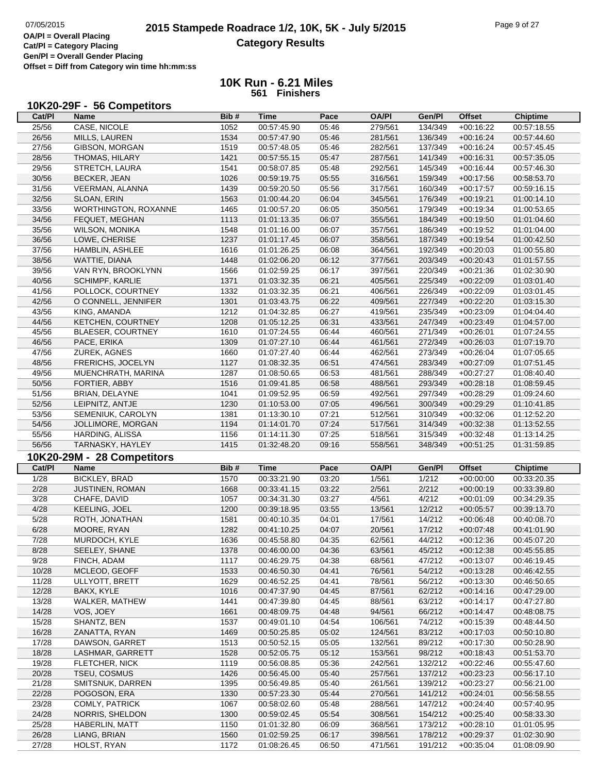## **10K Run - 6.21 Miles 561 Finishers**

## **10K20-29F - 56 Competitors**

| Cat/PI         | Name                                      | Bib#         | Time                       | Pace           | <b>OA/PI</b>       | Gen/Pl             | <b>Offset</b>              | <b>Chiptime</b>            |
|----------------|-------------------------------------------|--------------|----------------------------|----------------|--------------------|--------------------|----------------------------|----------------------------|
| 25/56          | CASE, NICOLE                              | 1052         | 00:57:45.90                | 05:46          | 279/561            | 134/349            | $+00:16:22$                | 00:57:18.55                |
| 26/56          | MILLS, LAUREN                             | 1534         | 00:57:47.90                | 05:46          | 281/561            | 136/349            | $+00:16:24$                | 00:57:44.60                |
| 27/56          | GIBSON, MORGAN                            | 1519         | 00:57:48.05                | 05:46          | 282/561            | 137/349            | $+00:16:24$                | 00:57:45.45                |
| 28/56          | THOMAS, HILARY                            | 1421         | 00:57:55.15                | 05:47          | 287/561            | 141/349            | $+00:16:31$                | 00:57:35.05                |
| 29/56          | STRETCH, LAURA                            | 1541         | 00:58:07.85                | 05:48          | 292/561            | 145/349            | $+00:16:44$                | 00:57:46.30                |
| 30/56          | <b>BECKER, JEAN</b>                       | 1026         | 00:59:19.75                | 05:55          | 316/561            | 159/349            | $+00:17:56$                | 00:58:53.70                |
| 31/56          | VEERMAN, ALANNA                           | 1439         | 00:59:20.50                | 05:56          | 317/561            | 160/349            | $+00:17:57$                | 00:59:16.15                |
| 32/56          | SLOAN, ERIN                               | 1563         | 01:00:44.20                | 06:04          | 345/561            | 176/349            | $+00:19:21$                | 01:00:14.10                |
| 33/56          | WORTHINGTON, ROXANNE                      | 1465         | 01:00:57.20                | 06:05          | 350/561            | 179/349            | $+00:19:34$                | 01:00:53.65                |
| 34/56          | FEQUET, MEGHAN                            | 1113         | 01:01:13.35                | 06:07          | 355/561            | 184/349            | $+00:19:50$                | 01:01:04.60                |
| 35/56          | <b>WILSON, MONIKA</b>                     | 1548         | 01:01:16.00                | 06:07          | 357/561            | 186/349            | $+00:19:52$                | 01:01:04.00                |
| 36/56          | LOWE, CHERISE                             | 1237         | 01:01:17.45                | 06:07          | 358/561            | 187/349            | $+00:19:54$                | 01:00:42.50                |
| 37/56          | HAMBLIN, ASHLEE                           | 1616         | 01:01:26.25                | 06:08          | 364/561            | 192/349            | $+00:20:03$                | 01:00:55.80                |
| 38/56          | WATTIE, DIANA                             | 1448         | 01:02:06.20                | 06:12          | 377/561            | 203/349            | $+00:20:43$                | 01:01:57.55                |
| 39/56          |                                           |              |                            |                |                    |                    |                            |                            |
| 40/56          | VAN RYN, BROOKLYNN                        | 1566         | 01:02:59.25                | 06:17          | 397/561            | 220/349            | $+00:21:36$                | 01:02:30.90                |
|                | SCHIMPF, KARLIE                           | 1371         | 01:03:32.35                | 06:21          | 405/561            | 225/349            | $+00:22:09$                | 01:03:01.40                |
| 41/56          | POLLOCK, COURTNEY                         | 1332         | 01:03:32.35                | 06:21          | 406/561            | 226/349            | $+00:22:09$                | 01:03:01.45                |
| 42/56          | O CONNELL, JENNIFER                       | 1301         | 01:03:43.75                | 06:22          | 409/561            | 227/349            | $+00:22:20$                | 01:03:15.30                |
| 43/56          | KING, AMANDA                              | 1212         | 01:04:32.85                | 06:27          | 419/561            | 235/349            | $+00:23:09$                | 01:04:04.40                |
| 44/56          | KETCHEN, COURTNEY                         | 1208         | 01:05:12.25                | 06:31          | 433/561            | 247/349            | $+00:23:49$                | 01:04:57.00                |
| 45/56          | <b>BLAESER, COURTNEY</b>                  | 1610         | 01:07:24.55                | 06:44          | 460/561            | 271/349            | $+00:26:01$                | 01:07:24.55                |
| 46/56          | PACE, ERIKA                               | 1309         | 01:07:27.10                | 06:44          | 461/561            | 272/349            | $+00:26:03$                | 01:07:19.70                |
| 47/56          | ZUREK, AGNES                              | 1660         | 01:07:27.40                | 06:44          | 462/561            | 273/349            | $+00:26:04$                | 01:07:05.65                |
| 48/56          | FRERICHS, JOCELYN                         | 1127         | 01:08:32.35                | 06:51          | 474/561            | 283/349            | $+00:27:09$                | 01:07:51.45                |
| 49/56          | MUENCHRATH, MARINA                        | 1287         | 01:08:50.65                | 06:53          | 481/561            | 288/349            | $+00:27:27$                | 01:08:40.40                |
| 50/56          | FORTIER, ABBY                             | 1516         | 01:09:41.85                | 06:58          | 488/561            | 293/349            | $+00:28:18$                | 01:08:59.45                |
| 51/56          | BRIAN, DELAYNE                            | 1041         | 01:09:52.95                | 06:59          | 492/561            | 297/349            | $+00:28:29$                | 01:09:24.60                |
| 52/56          | LEIPNITZ, ANTJE                           | 1230         | 01:10:53.00                | 07:05          | 496/561            | 300/349            | $+00:29:29$                | 01:10:41.85                |
| 53/56          | SEMENIUK, CAROLYN                         | 1381         | 01:13:30.10                | 07:21          | 512/561            | 310/349            | $+00:32:06$                | 01:12:52.20                |
| 54/56          | JOLLIMORE, MORGAN                         | 1194         | 01:14:01.70                | 07:24          | 517/561            | 314/349            | $+00:32:38$                | 01:13:52.55                |
|                | HARDING, ALISSA                           | 1156         |                            | 07:25          |                    |                    |                            |                            |
| 55/56          |                                           |              | 01:14:11.30                |                | 518/561            | 315/349            | $+00:32:48$                | 01:13:14.25                |
| 56/56          | TARNASKY, HAYLEY                          | 1415         | 01:32:48.20                | 09:16          | 558/561            | 348/349            | $+00:51:25$                | 01:31:59.85                |
|                |                                           |              |                            |                |                    |                    |                            |                            |
|                | 10K20-29M - 28 Competitors<br><b>Name</b> | Bib#         | <b>Time</b>                | Pace           | <b>OA/PI</b>       |                    |                            |                            |
| Cat/PI         |                                           |              |                            |                |                    | Gen/Pl             | <b>Offset</b>              | <b>Chiptime</b>            |
| 1/28           | <b>BICKLEY, BRAD</b>                      | 1570         | 00:33:21.90                | 03:20          | 1/561              | 1/212              | $+00:00:00$                | 00:33:20.35                |
| 2/28           | JUSTINEN, ROMAN                           | 1668         | 00:33:41.15                | 03:22          | 2/561              | 2/212              | $+00:00:19$                | 00:33:39.80                |
| 3/28           | CHAFE, DAVID                              | 1057         | 00:34:31.30                | 03:27          | 4/561              | 4/212              | $+00:01:09$                | 00:34:29.35                |
| 4/28           | KEELING, JOEL                             | 1200         | 00:39:18.95                | 03:55          | 13/561             | 12/212             | $+00:05:57$                | 00:39:13.70                |
| 5/28           | ROTH, JONATHAN                            | 1581         | 00:40:10.35                | 04:01          | 17/561             | 14/212             | $+00:06:48$                | 00:40:08.70                |
| 6/28           | MOORE, RYAN                               | 1282         | 00:41:10.25                | 04:07          | 20/561             | 17/212             | $+00:07:48$                | 00:41:01.90                |
| 7/28           | MURDOCH, KYLE                             | 1636         | 00:45:58.80                | 04:35          | 62/561             | 44/212             | $+00:12:36$                | 00:45:07.20                |
| 8/28           | SEELEY, SHANE                             | 1378         | 00:46:00.00                | 04:36          | 63/561             |                    | 45/212 +00:12:38           | 00:45:55.85                |
| 9/28           | FINCH, ADAM                               | 1117         | 00:46:29.75                | 04:38          | 68/561             | 47/212             | $+00:13:07$                | 00:46:19.45                |
| 10/28          | MCLEOD, GEOFF                             | 1533         | 00:46:50.30                | 04:41          | 76/561             | 54/212             | $+00:13:28$                | 00:46:42.55                |
| 11/28          | ULLYOTT, BRETT                            | 1629         | 00:46:52.25                | 04:41          | 78/561             | 56/212             | $+00:13:30$                | 00:46:50.65                |
| 12/28          | BAKX, KYLE                                | 1016         | 00:47:37.90                | 04:45          | 87/561             | 62/212             | $+00:14:16$                | 00:47:29.00                |
| 13/28          | WALKER, MATHEW                            | 1441         | 00:47:39.80                | 04:45          | 88/561             | 63/212             | $+00:14:17$                | 00:47:27.80                |
| 14/28          | VOS, JOEY                                 | 1661         | 00:48:09.75                | 04:48          | 94/561             | 66/212             | $+00:14:47$                | 00:48:08.75                |
| 15/28          | SHANTZ, BEN                               | 1537         | 00:49:01.10                | 04:54          | 106/561            | 74/212             | $+00:15:39$                | 00:48:44.50                |
| 16/28          | ZANATTA, RYAN                             | 1469         | 00:50:25.85                | 05:02          | 124/561            | 83/212             | $+00:17:03$                | 00:50:10.80                |
| 17/28          | DAWSON, GARRET                            | 1513         | 00:50:52.15                | 05:05          | 132/561            | 89/212             | $+00:17:30$                | 00:50:28.90                |
| 18/28          | LASHMAR, GARRETT                          | 1528         | 00:52:05.75                | 05:12          | 153/561            | 98/212             | $+00:18:43$                | 00:51:53.70                |
| 19/28          | FLETCHER, NICK                            | 1119         | 00:56:08.85                | 05:36          | 242/561            | 132/212            | $+00:22:46$                | 00:55:47.60                |
| 20/28          | TSEU, COSMUS                              | 1426         | 00:56:45.00                | 05:40          | 257/561            | 137/212            | $+00:23:23$                | 00:56:17.10                |
| 21/28          | SMITSNUK, DARREN                          | 1395         | 00:56:49.85                | 05:40          | 261/561            | 139/212            | $+00:23:27$                | 00:56:21.00                |
| 22/28          | POGOSON, ERA                              | 1330         | 00:57:23.30                | 05:44          | 270/561            | 141/212            | $+00:24:01$                | 00:56:58.55                |
| 23/28          | COMLY, PATRICK                            | 1067         | 00:58:02.60                | 05:48          | 288/561            | 147/212            | $+00:24:40$                | 00:57:40.95                |
| 24/28          | NORRIS, SHELDON                           | 1300         | 00:59:02.45                | 05:54          | 308/561            | 154/212            | $+00:25:40$                | 00:58:33.30                |
| 25/28          | HABERLIN, MATT                            | 1150         | 01:01:32.80                | 06:09          | 368/561            | 173/212            | $+00:28:10$                | 01:01:05.95                |
| 26/28<br>27/28 | LIANG, BRIAN<br>HOLST, RYAN               | 1560<br>1172 | 01:02:59.25<br>01:08:26.45 | 06:17<br>06:50 | 398/561<br>471/561 | 178/212<br>191/212 | $+00:29:37$<br>$+00:35:04$ | 01:02:30.90<br>01:08:09.90 |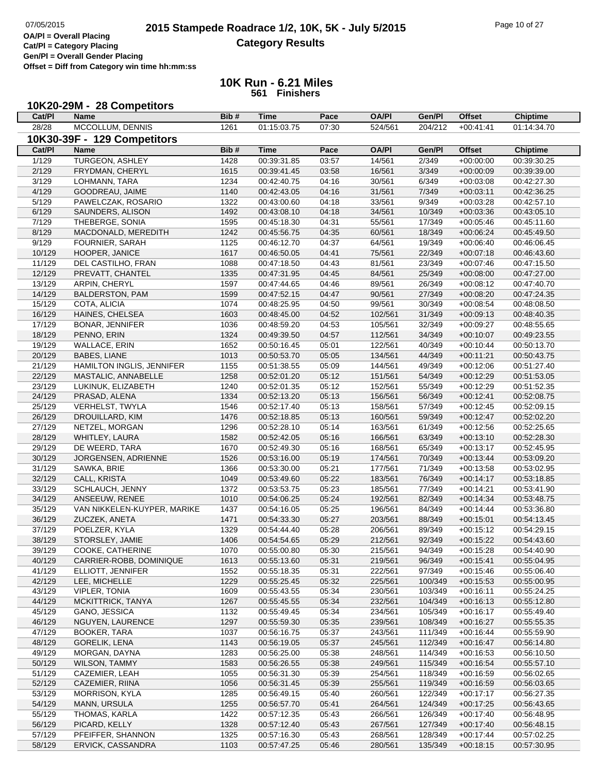## **2015 Stampede Roadrace 1/2, 10K, 5K - July 5/2015** Page 10 of 27<br> **DAPI** = Overall Placing **Category Results**

**Cat/Pl = Category Placing**

**Gen/Pl = Overall Gender Placing**

**Offset = Diff from Category win time hh:mm:ss**

| 10K20-29M - 28 Competitors |
|----------------------------|
|----------------------------|

| Cat/PI | Name                        | Bib# | Time        | Pace  | <b>OA/PI</b> | Gen/Pl  | <b>Offset</b> | <b>Chiptime</b> |
|--------|-----------------------------|------|-------------|-------|--------------|---------|---------------|-----------------|
| 28/28  | MCCOLLUM, DENNIS            | 1261 | 01:15:03.75 | 07:30 | 524/561      | 204/212 | $+00:41:41$   | 01:14:34.70     |
|        | 10K30-39F - 129 Competitors |      |             |       |              |         |               |                 |
| Cat/PI | <b>Name</b>                 | Bib# | <b>Time</b> | Pace  | <b>OA/PI</b> | Gen/Pl  | <b>Offset</b> | <b>Chiptime</b> |
| 1/129  | <b>TURGEON, ASHLEY</b>      | 1428 | 00:39:31.85 | 03:57 | 14/561       | 2/349   | $+00:00:00$   | 00:39:30.25     |
| 2/129  | FRYDMAN, CHERYL             | 1615 | 00:39:41.45 | 03:58 | 16/561       | 3/349   | $+00:00:09$   | 00:39:39.00     |
| 3/129  | LOHMANN, TARA               | 1234 | 00:42:40.75 | 04:16 | 30/561       | 6/349   | $+00:03:08$   | 00:42:27.30     |
| 4/129  | GOODREAU, JAIME             | 1140 | 00:42:43.05 | 04:16 | 31/561       | 7/349   | $+00:03:11$   | 00:42:36.25     |
| 5/129  | PAWELCZAK, ROSARIO          | 1322 | 00:43:00.60 | 04:18 | 33/561       | 9/349   | $+00:03:28$   | 00:42:57.10     |
| 6/129  | SAUNDERS, ALISON            | 1492 | 00:43:08.10 | 04:18 | 34/561       | 10/349  | $+00:03:36$   | 00:43:05.10     |
| 7/129  | THEBERGE, SONIA             | 1595 | 00:45:18.30 | 04:31 | 55/561       | 17/349  | $+00:05:46$   | 00:45:11.60     |
| 8/129  | MACDONALD, MEREDITH         | 1242 | 00:45:56.75 | 04:35 | 60/561       | 18/349  | $+00:06:24$   | 00:45:49.50     |
| 9/129  | FOURNIER, SARAH             | 1125 | 00:46:12.70 | 04:37 | 64/561       | 19/349  | $+00:06:40$   | 00:46:06.45     |
| 10/129 | HOOPER, JANICE              | 1617 | 00:46:50.05 | 04:41 | 75/561       | 22/349  | $+00:07:18$   | 00:46:43.60     |
| 11/129 | DEL CASTILHO, FRAN          | 1088 | 00:47:18.50 | 04:43 | 81/561       | 23/349  | $+00:07:46$   | 00:47:15.50     |
| 12/129 | PREVATT, CHANTEL            | 1335 | 00:47:31.95 | 04:45 | 84/561       | 25/349  | $+00:08:00$   | 00:47:27.00     |
| 13/129 | ARPIN, CHERYL               | 1597 | 00:47:44.65 | 04:46 | 89/561       | 26/349  | $+00:08:12$   | 00:47:40.70     |
| 14/129 | <b>BALDERSTON, PAM</b>      | 1599 | 00:47:52.15 | 04:47 | 90/561       | 27/349  | $+00:08:20$   | 00:47:24.35     |
| 15/129 | COTA, ALICIA                | 1074 | 00:48:25.95 | 04:50 | 99/561       | 30/349  | $+00:08:54$   | 00:48:08.50     |
|        | HAINES, CHELSEA             |      |             |       |              |         |               | 00:48:40.35     |
| 16/129 |                             | 1603 | 00:48:45.00 | 04:52 | 102/561      | 31/349  | $+00:09:13$   |                 |
| 17/129 | <b>BONAR, JENNIFER</b>      | 1036 | 00:48:59.20 | 04:53 | 105/561      | 32/349  | $+00:09:27$   | 00:48:55.65     |
| 18/129 | PENNO, ERIN                 | 1324 | 00:49:39.50 | 04:57 | 112/561      | 34/349  | $+00:10:07$   | 00:49:23.55     |
| 19/129 | WALLACE, ERIN               | 1652 | 00:50:16.45 | 05:01 | 122/561      | 40/349  | $+00:10:44$   | 00:50:13.70     |
| 20/129 | <b>BABES, LIANE</b>         | 1013 | 00:50:53.70 | 05:05 | 134/561      | 44/349  | $+00:11:21$   | 00:50:43.75     |
| 21/129 | HAMILTON INGLIS, JENNIFER   | 1155 | 00:51:38.55 | 05:09 | 144/561      | 49/349  | $+00:12:06$   | 00:51:27.40     |
| 22/129 | MASTALIC, ANNABELLE         | 1258 | 00:52:01.20 | 05:12 | 151/561      | 54/349  | $+00:12:29$   | 00:51:53.05     |
| 23/129 | LUKINUK, ELIZABETH          | 1240 | 00:52:01.35 | 05:12 | 152/561      | 55/349  | $+00:12:29$   | 00:51:52.35     |
| 24/129 | PRASAD, ALENA               | 1334 | 00:52:13.20 | 05:13 | 156/561      | 56/349  | $+00:12:41$   | 00:52:08.75     |
| 25/129 | <b>VERHELST, TWYLA</b>      | 1546 | 00:52:17.40 | 05:13 | 158/561      | 57/349  | $+00:12:45$   | 00:52:09.15     |
| 26/129 | DROUILLARD, KIM             | 1476 | 00:52:18.85 | 05:13 | 160/561      | 59/349  | $+00:12:47$   | 00:52:02.20     |
| 27/129 | NETZEL, MORGAN              | 1296 | 00:52:28.10 | 05:14 | 163/561      | 61/349  | $+00:12:56$   | 00:52:25.65     |
| 28/129 | WHITLEY, LAURA              | 1582 | 00:52:42.05 | 05:16 | 166/561      | 63/349  | $+00:13:10$   | 00:52:28.30     |
| 29/129 | DE WEERD, TARA              | 1670 | 00:52:49.30 | 05:16 | 168/561      | 65/349  | $+00:13:17$   | 00:52:45.95     |
| 30/129 | JORGENSEN, ADRIENNE         | 1526 | 00:53:16.00 | 05:19 | 174/561      | 70/349  | $+00:13:44$   | 00:53:09.20     |
| 31/129 | SAWKA, BRIE                 | 1366 | 00:53:30.00 | 05:21 | 177/561      | 71/349  | $+00:13:58$   | 00:53:02.95     |
| 32/129 | CALL, KRISTA                | 1049 | 00:53:49.60 | 05:22 | 183/561      | 76/349  | $+00:14:17$   | 00:53:18.85     |
| 33/129 | SCHLAUCH, JENNY             | 1372 | 00:53:53.75 | 05:23 | 185/561      | 77/349  | $+00:14:21$   | 00:53:41.90     |
| 34/129 | ANSEEUW, RENEE              | 1010 | 00:54:06.25 | 05:24 | 192/561      | 82/349  | $+00:14:34$   | 00:53:48.75     |
| 35/129 | VAN NIKKELEN-KUYPER, MARIKE | 1437 | 00:54:16.05 | 05:25 | 196/561      | 84/349  | $+00.14.44$   | 00:53:36.80     |
| 36/129 | ZUCZEK, ANETA               | 1471 | 00:54:33.30 | 05:27 | 203/561      | 88/349  | $+00:15:01$   | 00:54:13.45     |
| 37/129 | POELZER, KYLA               | 1329 | 00:54:44.40 | 05:28 | 206/561      | 89/349  | $+00:15:12$   | 00:54:29.15     |
| 38/129 | STORSLEY, JAMIE             | 1406 | 00:54:54.65 | 05:29 | 212/561      | 92/349  | $+00:15:22$   | 00:54:43.60     |
| 39/129 | COOKE, CATHERINE            | 1070 | 00:55:00.80 | 05:30 | 215/561      | 94/349  | $+00:15:28$   | 00:54:40.90     |
| 40/129 | CARRIER-ROBB, DOMINIQUE     | 1613 | 00:55:13.60 | 05:31 | 219/561      | 96/349  | $+00:15:41$   | 00:55:04.95     |
| 41/129 | ELLIOTT, JENNIFER           | 1552 | 00:55:18.35 | 05:31 | 222/561      | 97/349  | $+00:15:46$   | 00:55:06.40     |
| 42/129 | LEE, MICHELLE               | 1229 | 00:55:25.45 | 05:32 | 225/561      | 100/349 | $+00:15:53$   | 00:55:00.95     |
| 43/129 | <b>VIPLER, TONIA</b>        | 1609 | 00:55:43.55 | 05:34 | 230/561      | 103/349 | $+00:16:11$   | 00:55:24.25     |
| 44/129 | MCKITTRICK, TANYA           | 1267 | 00:55:45.55 | 05:34 | 232/561      | 104/349 | $+00:16:13$   | 00:55:12.80     |
| 45/129 | GANO, JESSICA               | 1132 | 00:55:49.45 | 05:34 | 234/561      | 105/349 | $+00:16:17$   | 00:55:49.40     |
| 46/129 | NGUYEN, LAURENCE            | 1297 | 00:55:59.30 | 05:35 | 239/561      | 108/349 | $+00:16:27$   | 00:55:55.35     |
| 47/129 | <b>BOOKER, TARA</b>         | 1037 | 00:56:16.75 | 05:37 | 243/561      | 111/349 | $+00:16:44$   | 00:55:59.90     |
| 48/129 | <b>GORELIK, LENA</b>        | 1143 | 00:56:19.05 | 05:37 | 245/561      | 112/349 | $+00:16:47$   | 00:56:14.80     |
| 49/129 | MORGAN, DAYNA               | 1283 | 00:56:25.00 | 05:38 | 248/561      | 114/349 | $+00:16:53$   | 00:56:10.50     |
| 50/129 | <b>WILSON, TAMMY</b>        | 1583 | 00:56:26.55 | 05:38 | 249/561      | 115/349 | $+00:16:54$   | 00:55:57.10     |
| 51/129 | CAZEMIER, LEAH              | 1055 | 00:56:31.30 | 05:39 | 254/561      | 118/349 | $+00:16:59$   | 00:56:02.65     |
| 52/129 | CAZEMIER, RIINA             | 1056 |             | 05:39 | 255/561      | 119/349 |               |                 |
|        |                             |      | 00:56:31.45 |       |              |         | $+00:16:59$   | 00:56:03.65     |
| 53/129 | <b>MORRISON, KYLA</b>       | 1285 | 00:56:49.15 | 05:40 | 260/561      | 122/349 | $+00:17:17$   | 00:56:27.35     |
| 54/129 | MANN, URSULA                | 1255 | 00:56:57.70 | 05:41 | 264/561      | 124/349 | $+00:17:25$   | 00:56:43.65     |
| 55/129 | THOMAS, KARLA               | 1422 | 00:57:12.35 | 05:43 | 266/561      | 126/349 | $+00:17:40$   | 00:56:48.95     |
| 56/129 | PICARD, KELLY               | 1328 | 00:57:12.40 | 05:43 | 267/561      | 127/349 | $+00:17:40$   | 00:56:48.15     |
| 57/129 | PFEIFFER, SHANNON           | 1325 | 00:57:16.30 | 05:43 | 268/561      | 128/349 | $+00:17:44$   | 00:57:02.25     |
| 58/129 | ERVICK, CASSANDRA           | 1103 | 00:57:47.25 | 05:46 | 280/561      | 135/349 | $+00:18:15$   | 00:57:30.95     |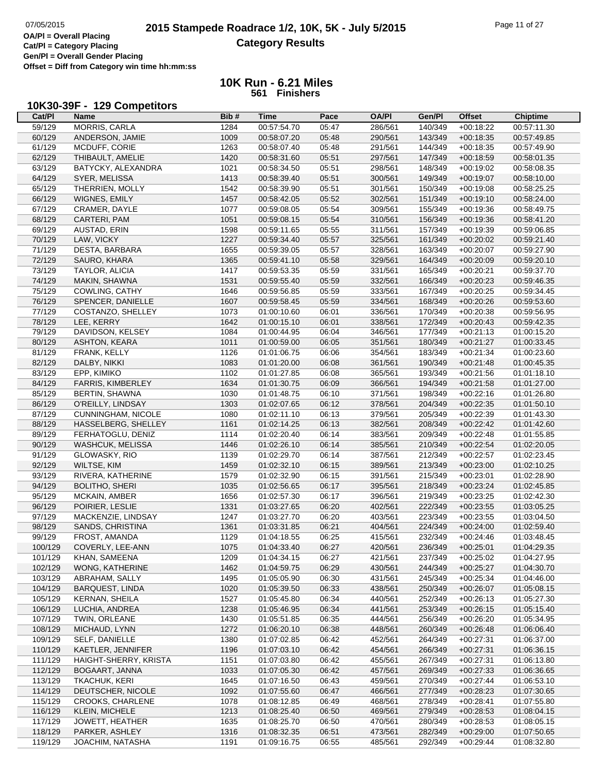> **10K Run - 6.21 Miles 561 Finishers**

## **10K30-39F - 129 Competitors**

| Cat/PI  | Name                        | Bib# | <b>Time</b> | Pace  | <b>OA/PI</b> | Gen/Pl  | <b>Offset</b> | <b>Chiptime</b> |
|---------|-----------------------------|------|-------------|-------|--------------|---------|---------------|-----------------|
| 59/129  | <b>MORRIS, CARLA</b>        | 1284 | 00:57:54.70 | 05:47 | 286/561      | 140/349 | $+00:18:22$   | 00:57:11.30     |
| 60/129  | ANDERSON, JAMIE             | 1009 | 00:58:07.20 | 05:48 | 290/561      | 143/349 | $+00:18:35$   | 00:57:49.85     |
| 61/129  | MCDUFF, CORIE               | 1263 | 00:58:07.40 | 05:48 | 291/561      | 144/349 | $+00:18:35$   | 00:57:49.90     |
| 62/129  | THIBAULT, AMELIE            | 1420 | 00:58:31.60 | 05:51 | 297/561      | 147/349 | $+00:18:59$   | 00:58:01.35     |
| 63/129  | BATYCKY, ALEXANDRA          | 1021 | 00:58:34.50 | 05:51 | 298/561      | 148/349 | $+00:19:02$   | 00:58:08.35     |
| 64/129  | SYER, MELISSA               | 1413 | 00:58:39.40 | 05:51 | 300/561      | 149/349 | $+00:19:07$   | 00:58:10.00     |
| 65/129  | THERRIEN, MOLLY             | 1542 | 00:58:39.90 | 05:51 | 301/561      | 150/349 | $+00:19:08$   | 00:58:25.25     |
| 66/129  | WIGNES, EMILY               | 1457 | 00:58:42.05 | 05:52 | 302/561      | 151/349 | $+00:19:10$   | 00:58:24.00     |
| 67/129  | CRAMER, DAYLE               | 1077 | 00:59:08.05 | 05:54 | 309/561      | 155/349 | $+00:19:36$   | 00:58:49.75     |
| 68/129  | CARTERI, PAM                | 1051 | 00:59:08.15 | 05:54 | 310/561      | 156/349 | $+00:19:36$   | 00:58:41.20     |
| 69/129  | AUSTAD, ERIN                | 1598 | 00:59:11.65 | 05:55 | 311/561      | 157/349 | $+00:19:39$   | 00:59:06.85     |
| 70/129  | LAW, VICKY                  | 1227 | 00:59:34.40 | 05:57 | 325/561      | 161/349 | $+00:20:02$   | 00:59:21.40     |
| 71/129  | DESTA, BARBARA              | 1655 | 00:59:39.05 | 05:57 | 328/561      | 163/349 | $+00:20:07$   | 00:59:27.90     |
| 72/129  | SAURO, KHARA                | 1365 | 00:59:41.10 | 05:58 | 329/561      | 164/349 | $+00:20:09$   | 00:59:20.10     |
| 73/129  | <b>TAYLOR, ALICIA</b>       | 1417 | 00:59:53.35 | 05:59 | 331/561      | 165/349 | $+00:20:21$   | 00:59:37.70     |
| 74/129  | MAKIN, SHAWNA               | 1531 | 00:59:55.40 | 05:59 | 332/561      | 166/349 | $+00:20:23$   | 00:59:46.35     |
| 75/129  | COWLING, CATHY              | 1646 | 00:59:56.85 | 05:59 | 333/561      | 167/349 | $+00:20:25$   | 00:59:34.45     |
| 76/129  | SPENCER, DANIELLE           | 1607 | 00:59:58.45 | 05:59 | 334/561      | 168/349 | $+00:20:26$   | 00:59:53.60     |
| 77/129  | COSTANZO, SHELLEY           | 1073 | 01:00:10.60 | 06:01 | 336/561      | 170/349 | $+00:20:38$   | 00:59:56.95     |
| 78/129  | LEE, KERRY                  | 1642 | 01:00:15.10 | 06:01 | 338/561      | 172/349 | $+00:20:43$   | 00:59:42.35     |
|         | DAVIDSON, KELSEY            | 1084 |             | 06:04 | 346/561      | 177/349 |               | 01:00:15.20     |
| 79/129  |                             | 1011 | 01:00:44.95 |       |              | 180/349 | $+00:21:13$   | 01:00:33.45     |
| 80/129  | <b>ASHTON, KEARA</b>        |      | 01:00:59.00 | 06:05 | 351/561      |         | $+00:21:27$   |                 |
| 81/129  | FRANK, KELLY                | 1126 | 01:01:06.75 | 06:06 | 354/561      | 183/349 | $+00:21:34$   | 01:00:23.60     |
| 82/129  | DALBY, NIKKI<br>EPP. KIMIKO | 1083 | 01:01:20.00 | 06:08 | 361/561      | 190/349 | $+00:21:48$   | 01:00:45.35     |
| 83/129  |                             | 1102 | 01:01:27.85 | 06:08 | 365/561      | 193/349 | $+00:21:56$   | 01:01:18.10     |
| 84/129  | FARRIS, KIMBERLEY           | 1634 | 01:01:30.75 | 06:09 | 366/561      | 194/349 | $+00:21:58$   | 01:01:27.00     |
| 85/129  | BERTIN, SHAWNA              | 1030 | 01:01:48.75 | 06:10 | 371/561      | 198/349 | $+00:22:16$   | 01:01:26.80     |
| 86/129  | O'REILLY, LINDSAY           | 1303 | 01:02:07.65 | 06:12 | 378/561      | 204/349 | $+00:22:35$   | 01:01:50.10     |
| 87/129  | <b>CUNNINGHAM, NICOLE</b>   | 1080 | 01:02:11.10 | 06:13 | 379/561      | 205/349 | $+00:22:39$   | 01:01:43.30     |
| 88/129  | HASSELBERG, SHELLEY         | 1161 | 01:02:14.25 | 06:13 | 382/561      | 208/349 | $+00:22:42$   | 01:01:42.60     |
| 89/129  | FERHATOGLU, DENIZ           | 1114 | 01:02:20.40 | 06:14 | 383/561      | 209/349 | $+00:22:48$   | 01:01:55.85     |
| 90/129  | <b>WASHCUK, MELISSA</b>     | 1446 | 01:02:26.10 | 06:14 | 385/561      | 210/349 | $+00:22:54$   | 01:02:20.05     |
| 91/129  | GLOWASKY, RIO               | 1139 | 01:02:29.70 | 06:14 | 387/561      | 212/349 | $+00:22:57$   | 01:02:23.45     |
| 92/129  | WILTSE, KIM                 | 1459 | 01:02:32.10 | 06:15 | 389/561      | 213/349 | $+00:23:00$   | 01:02:10.25     |
| 93/129  | RIVERA, KATHERINE           | 1579 | 01:02:32.90 | 06:15 | 391/561      | 215/349 | $+00:23:01$   | 01:02:28.90     |
| 94/129  | <b>BOLITHO, SHERI</b>       | 1035 | 01:02:56.65 | 06:17 | 395/561      | 218/349 | $+00:23:24$   | 01:02:45.85     |
| 95/129  | <b>MCKAIN, AMBER</b>        | 1656 | 01:02:57.30 | 06:17 | 396/561      | 219/349 | $+00:23:25$   | 01:02:42.30     |
| 96/129  | POIRIER, LESLIE             | 1331 | 01:03:27.65 | 06:20 | 402/561      | 222/349 | $+00:23:55$   | 01:03:05.25     |
| 97/129  | MACKENZIE, LINDSAY          | 1247 | 01:03:27.70 | 06:20 | 403/561      | 223/349 | $+00:23:55$   | 01:03:04.50     |
| 98/129  | SANDS, CHRISTINA            | 1361 | 01:03:31.85 | 06:21 | 404/561      | 224/349 | $+00:24:00$   | 01:02:59.40     |
| 99/129  | FROST, AMANDA               | 1129 | 01:04:18.55 | 06:25 | 415/561      | 232/349 | $+00:24:46$   | 01:03:48.45     |
| 100/129 | COVERLY, LEE-ANN            | 1075 | 01:04:33.40 | 06:27 | 420/561      | 236/349 | $+00:25:01$   | 01:04:29.35     |
| 101/129 | KHAN, SAMEENA               | 1209 | 01:04:34.15 | 06:27 | 421/561      | 237/349 | $+00:25:02$   | 01:04:27.95     |
| 102/129 | WONG, KATHERINE             | 1462 | 01:04:59.75 | 06:29 | 430/561      | 244/349 | $+00:25:27$   | 01:04:30.70     |
| 103/129 | ABRAHAM, SALLY              | 1495 | 01:05:05.90 | 06:30 | 431/561      | 245/349 | $+00:25:34$   | 01:04:46.00     |
| 104/129 | <b>BARQUEST, LINDA</b>      | 1020 | 01:05:39.50 | 06:33 | 438/561      | 250/349 | $+00:26:07$   | 01:05:08.15     |
| 105/129 | KERNAN, SHEILA              | 1527 | 01:05:45.80 | 06:34 | 440/561      | 252/349 | $+00:26:13$   | 01:05:27.30     |
| 106/129 | LUCHIA, ANDREA              | 1238 | 01:05:46.95 | 06:34 | 441/561      | 253/349 | $+00:26:15$   | 01:05:15.40     |
| 107/129 | TWIN, ORLEANE               | 1430 | 01:05:51.85 | 06:35 | 444/561      | 256/349 | $+00:26:20$   | 01:05:34.95     |
| 108/129 | MICHAUD, LYNN               | 1272 | 01:06:20.10 | 06:38 | 448/561      | 260/349 | $+00:26:48$   | 01:06:06.40     |
| 109/129 | SELF, DANIELLE              | 1380 | 01:07:02.85 | 06:42 | 452/561      | 264/349 | $+00:27:31$   | 01:06:37.00     |
| 110/129 | KAETLER, JENNIFER           | 1196 | 01:07:03.10 | 06:42 | 454/561      | 266/349 | $+00:27:31$   | 01:06:36.15     |
| 111/129 | HAIGHT-SHERRY, KRISTA       | 1151 | 01:07:03.80 | 06:42 | 455/561      | 267/349 | $+00:27:31$   | 01:06:13.80     |
| 112/129 | BOGAART, JANNA              | 1033 | 01:07:05.30 | 06:42 | 457/561      | 269/349 | $+00:27:33$   | 01:06:36.65     |
| 113/129 | TKACHUK, KERI               | 1645 | 01:07:16.50 | 06:43 | 459/561      | 270/349 | $+00:27:44$   | 01:06:53.10     |
| 114/129 | DEUTSCHER, NICOLE           | 1092 | 01:07:55.60 | 06:47 | 466/561      | 277/349 | $+00:28:23$   | 01:07:30.65     |
| 115/129 | CROOKS, CHARLENE            | 1078 | 01:08:12.85 | 06:49 | 468/561      | 278/349 | $+00:28:41$   | 01:07:55.80     |
| 116/129 | KLEIN, MICHELE              | 1213 | 01:08:25.40 | 06:50 | 469/561      | 279/349 | $+00:28:53$   | 01:08:04.15     |
| 117/129 | JOWETT, HEATHER             | 1635 | 01:08:25.70 | 06:50 | 470/561      | 280/349 | $+00:28:53$   | 01:08:05.15     |
| 118/129 | PARKER, ASHLEY              | 1316 | 01:08:32.35 | 06:51 | 473/561      | 282/349 | $+00:29:00$   | 01:07:50.65     |
| 119/129 | JOACHIM, NATASHA            | 1191 | 01:09:16.75 | 06:55 | 485/561      | 292/349 | $+00:29:44$   | 01:08:32.80     |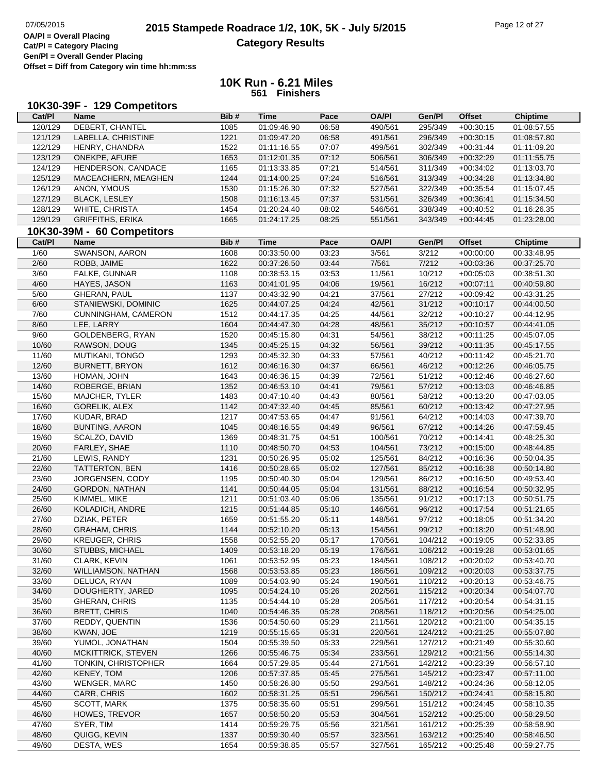**Cat/Pl = Category Placing Gen/Pl = Overall Gender Placing**

**Offset = Diff from Category win time hh:mm:ss**

| Cat/PI  | 10K30-39F - 129 Competitors<br><b>Name</b> | Bib# | <b>Time</b>                | Pace  | <b>OA/PI</b>       | Gen/Pl  | <b>Offset</b>              | <b>Chiptime</b> |
|---------|--------------------------------------------|------|----------------------------|-------|--------------------|---------|----------------------------|-----------------|
| 120/129 | DEBERT, CHANTEL                            | 1085 | 01:09:46.90                | 06:58 | 490/561            | 295/349 | $+00:30:15$                | 01:08:57.55     |
| 121/129 | LABELLA, CHRISTINE                         | 1221 | 01:09:47.20                | 06:58 | 491/561            | 296/349 | $+00:30:15$                | 01:08:57.80     |
| 122/129 | HENRY, CHANDRA                             | 1522 | 01:11:16.55                | 07:07 | 499/561            | 302/349 | $+00:31:44$                | 01:11:09.20     |
| 123/129 | ONEKPE, AFURE                              | 1653 | 01:12:01.35                | 07:12 | 506/561            | 306/349 | $+00:32:29$                | 01:11:55.75     |
| 124/129 | HENDERSON, CANDACE                         | 1165 | 01:13:33.85                | 07:21 | 514/561            | 311/349 | $+00:34:02$                | 01:13:03.70     |
| 125/129 | MACEACHERN, MEAGHEN                        | 1244 | 01:14:00.25                | 07:24 | 516/561            | 313/349 | $+00:34:28$                | 01:13:34.80     |
|         |                                            |      |                            |       |                    |         |                            |                 |
| 126/129 | ANON, YMOUS                                | 1530 | 01:15:26.30                | 07:32 | 527/561            | 322/349 | $+00:35:54$                | 01:15:07.45     |
| 127/129 | <b>BLACK, LESLEY</b>                       | 1508 | 01:16:13.45                | 07:37 | 531/561            | 326/349 | $+00:36:41$                | 01:15:34.50     |
| 128/129 | WHITE, CHRISTA                             | 1454 | 01:20:24.40                | 08:02 | 546/561            | 338/349 | $+00:40:52$                | 01:16:26.35     |
| 129/129 | <b>GRIFFITHS, ERIKA</b>                    | 1665 | 01:24:17.25                | 08:25 | 551/561            | 343/349 | $+00.44.45$                | 01:23:28.00     |
|         | 10K30-39M - 60 Competitors                 |      |                            |       |                    |         |                            |                 |
| Cat/PI  | <b>Name</b>                                | Bib# | <b>Time</b>                | Pace  | <b>OA/PI</b>       | Gen/Pl  | <b>Offset</b>              | <b>Chiptime</b> |
| 1/60    | SWANSON, AARON                             | 1608 | 00:33:50.00                | 03:23 | 3/561              | 3/212   | $+00:00:00$                | 00:33:48.95     |
| 2/60    | ROBB, JAIME                                | 1622 | 00:37:26.50                | 03:44 | 7/561              | 7/212   | $+00:03:36$                | 00:37:25.70     |
| 3/60    | FALKE, GUNNAR                              | 1108 | 00:38:53.15                | 03:53 | 11/561             | 10/212  | $+00:05:03$                | 00:38:51.30     |
| 4/60    | HAYES, JASON                               | 1163 | 00:41:01.95                | 04:06 | 19/561             | 16/212  | $+00:07:11$                | 00:40:59.80     |
| 5/60    | <b>GHERAN, PAUL</b>                        | 1137 | 00:43:32.90                | 04:21 | 37/561             | 27/212  | $+00:09:42$                | 00:43:31.25     |
| 6/60    | STANIEWSKI, DOMINIC                        | 1625 | 00:44:07.25                | 04:24 | 42/561             | 31/212  | $+00:10:17$                | 00:44:00.50     |
| 7/60    | CUNNINGHAM, CAMERON                        | 1512 | 00:44:17.35                | 04:25 | 44/561             | 32/212  | $+00:10:27$                | 00:44:12.95     |
| 8/60    | LEE, LARRY                                 | 1604 | 00:44:47.30                | 04:28 | 48/561             | 35/212  | $+00:10:57$                | 00:44:41.05     |
| 9/60    | GOLDENBERG, RYAN                           | 1520 | 00:45:15.80                | 04:31 | 54/561             | 38/212  | $+00:11:25$                | 00:45:07.05     |
| 10/60   | RAWSON, DOUG                               | 1345 | 00:45:25.15                | 04:32 | 56/561             | 39/212  | $+00:11:35$                | 00:45:17.55     |
| 11/60   | <b>MUTIKANI, TONGO</b>                     | 1293 | 00:45:32.30                | 04:33 | 57/561             | 40/212  | $+00:11:42$                | 00:45:21.70     |
| 12/60   | <b>BURNETT, BRYON</b>                      | 1612 | 00:46:16.30                | 04:37 | 66/561             | 46/212  | $+00:12:26$                | 00:46:05.75     |
| 13/60   | HOMAN, JOHN                                | 1643 | 00:46:36.15                | 04:39 | 72/561             | 51/212  | $+00:12:46$                | 00:46:27.60     |
| 14/60   | ROBERGE, BRIAN                             | 1352 | 00:46:53.10                | 04:41 | 79/561             | 57/212  | $+00:13:03$                | 00:46:46.85     |
| 15/60   | MAJCHER, TYLER                             | 1483 | 00:47:10.40                | 04:43 | 80/561             | 58/212  | $+00:13:20$                | 00:47:03.05     |
| 16/60   | <b>GORELIK, ALEX</b>                       | 1142 | 00:47:32.40                | 04:45 | 85/561             | 60/212  | $+00:13:42$                | 00:47:27.95     |
| 17/60   | KUDAR, BRAD                                | 1217 | 00:47:53.65                | 04:47 | 91/561             | 64/212  | $+00:14:03$                | 00:47:39.70     |
| 18/60   | <b>BUNTING, AARON</b>                      | 1045 | 00:48:16.55                | 04:49 | 96/561             | 67/212  | $+00:14:26$                | 00:47:59.45     |
| 19/60   | SCALZO, DAVID                              | 1369 | 00:48:31.75                | 04:51 | 100/561            | 70/212  | $+00:14:41$                | 00:48:25.30     |
| 20/60   | FARLEY, SHAE                               | 1110 | 00:48:50.70                | 04:53 | 104/561            | 73/212  | $+00:15:00$                | 00:48:44.85     |
| 21/60   | LEWIS, RANDY                               | 1231 | 00:50:26.95                | 05:02 | 125/561            | 84/212  | $+00:16:36$                | 00:50:04.35     |
| 22/60   | TATTERTON, BEN                             | 1416 | 00:50:28.65                | 05:02 | 127/561            | 85/212  | $+00:16:38$                | 00:50:14.80     |
| 23/60   | JORGENSEN, CODY                            | 1195 | 00:50:40.30                | 05:04 | 129/561            | 86/212  | $+00:16:50$                | 00:49:53.40     |
| 24/60   | <b>GORDON, NATHAN</b>                      | 1141 | 00:50:44.05                | 05:04 | 131/561            | 88/212  | $+00:16:54$                | 00:50:32.95     |
| 25/60   | KIMMEL, MIKE                               | 1211 | 00:51:03.40                | 05:06 | 135/561            | 91/212  | $+00:17:13$                | 00:50:51.75     |
| 26/60   | KOLADICH, ANDRE                            | 1215 | 00:51:44.85                | 05:10 | 146/561            | 96/212  | $+00:17:54$                | 00:51:21.65     |
| 27/60   | DZIAK, PETER                               | 1659 | 00:51:55.20                | 05:11 | 148/561            | 97/212  | $+00:18:05$                | 00:51:34.20     |
| 28/60   | <b>GRAHAM, CHRIS</b>                       | 1144 | 00:52:10.20                | 05:13 | 154/561            | 99/212  | $+00:18:20$                | 00:51:48.90     |
| 29/60   | <b>KREUGER, CHRIS</b>                      | 1558 | 00:52:55.20                | 05:17 | 170/561            | 104/212 | $+00:19:05$                | 00:52:33.85     |
| 30/60   | STUBBS, MICHAEL                            | 1409 | 00:53:18.20                | 05:19 | 176/561            | 106/212 | $+00:19:28$                | 00:53:01.65     |
| 31/60   | CLARK, KEVIN                               | 1061 | 00:53:52.95                | 05:23 | 184/561            | 108/212 | $+00:20:02$                | 00:53:40.70     |
| 32/60   | WILLIAMSON, NATHAN                         | 1568 | 00:53:53.85                | 05:23 | 186/561            | 109/212 | $+00:20:03$                | 00:53:37.75     |
| 33/60   | DELUCA, RYAN                               | 1089 | 00:54:03.90                | 05:24 | 190/561            | 110/212 | $+00:20:13$                | 00:53:46.75     |
| 34/60   | DOUGHERTY, JARED                           | 1095 | 00:54:24.10                | 05:26 | 202/561            | 115/212 | $+00:20:34$                | 00:54:07.70     |
| 35/60   | <b>GHERAN, CHRIS</b>                       | 1135 | 00:54:44.10                | 05:28 | 205/561            | 117/212 | $+00:20:54$                | 00:54:31.15     |
| 36/60   | <b>BRETT, CHRIS</b>                        | 1040 | 00:54:46.35                | 05:28 | 208/561            | 118/212 |                            | 00:54:25.00     |
|         |                                            |      |                            |       | 211/561            |         | $+00:20:56$<br>$+00:21:00$ | 00:54:35.15     |
| 37/60   | REDDY, QUENTIN                             | 1536 | 00:54:50.60                | 05:29 |                    | 120/212 |                            | 00:55:07.80     |
| 38/60   | KWAN, JOE                                  | 1219 | 00:55:15.65<br>00:55:39.50 | 05:31 | 220/561<br>229/561 | 124/212 | $+00:21:25$                | 00:55:30.60     |
| 39/60   | YUMOL, JONATHAN                            | 1504 |                            | 05:33 |                    | 127/212 | $+00:21:49$                |                 |
| 40/60   | MCKITTRICK, STEVEN                         | 1266 | 00:55:46.75                | 05:34 | 233/561            | 129/212 | $+00:21:56$                | 00:55:14.30     |
| 41/60   | TONKIN, CHRISTOPHER                        | 1664 | 00:57:29.85                | 05:44 | 271/561            | 142/212 | $+00:23:39$                | 00:56:57.10     |
| 42/60   | KENEY, TOM                                 | 1206 | 00:57:37.85                | 05:45 | 275/561            | 145/212 | $+00:23:47$                | 00:57:11.00     |
| 43/60   | <b>WENGER, MARC</b>                        | 1450 | 00:58:26.80                | 05:50 | 293/561            | 148/212 | $+00:24:36$                | 00:58:12.05     |
| 44/60   | CARR, CHRIS                                | 1602 | 00:58:31.25                | 05:51 | 296/561            | 150/212 | $+00:24:41$                | 00:58:15.80     |
| 45/60   | SCOTT, MARK                                | 1375 | 00:58:35.60                | 05:51 | 299/561            | 151/212 | $+00:24:45$                | 00:58:10.35     |
| 46/60   | HOWES, TREVOR                              | 1657 | 00:58:50.20                | 05:53 | 304/561            | 152/212 | $+00:25:00$                | 00:58:29.50     |
| 47/60   | SYER, TIM                                  | 1414 | 00:59:29.75                | 05:56 | 321/561            | 161/212 | $+00:25:39$                | 00:58:58.90     |
| 48/60   | QUIGG, KEVIN                               | 1337 | 00:59:30.40                | 05:57 | 323/561            | 163/212 | $+00:25:40$                | 00:58:46.50     |
| 49/60   | DESTA, WES                                 | 1654 | 00:59:38.85                | 05:57 | 327/561            | 165/212 | $+00:25:48$                | 00:59:27.75     |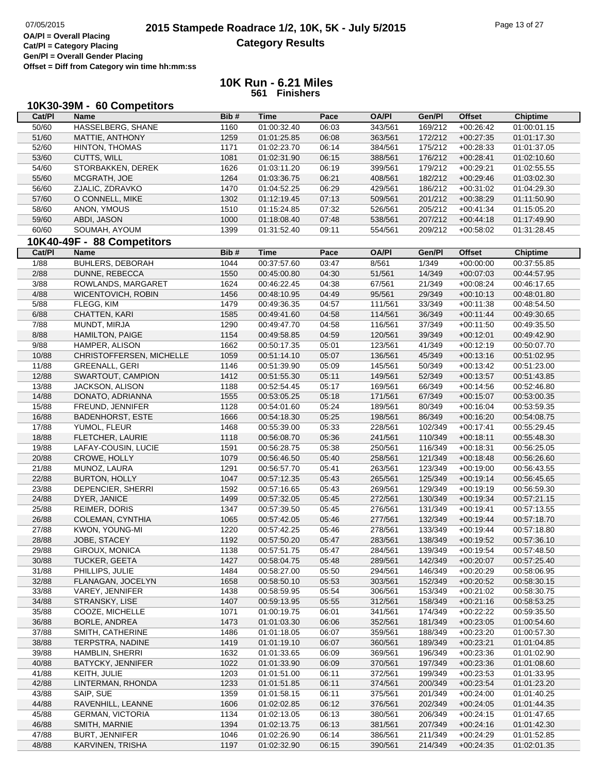|        | 10K30-39M - 60 Competitors |      |             |       |              |         |               |                 |
|--------|----------------------------|------|-------------|-------|--------------|---------|---------------|-----------------|
| Cat/PI | <b>Name</b>                | Bib# | <b>Time</b> | Pace  | <b>OA/PI</b> | Gen/Pl  | <b>Offset</b> | <b>Chiptime</b> |
| 50/60  | HASSELBERG, SHANE          | 1160 | 01:00:32.40 | 06:03 | 343/561      | 169/212 | $+00:26:42$   | 01:00:01.15     |
| 51/60  | MATTIE, ANTHONY            | 1259 | 01:01:25.85 | 06:08 | 363/561      | 172/212 | $+00:27:35$   | 01:01:17.30     |
| 52/60  | <b>HINTON, THOMAS</b>      | 1171 | 01:02:23.70 | 06:14 | 384/561      | 175/212 | $+00:28:33$   | 01:01:37.05     |
| 53/60  | CUTTS, WILL                | 1081 | 01:02:31.90 | 06:15 | 388/561      | 176/212 | $+00:28:41$   | 01:02:10.60     |
| 54/60  | STORBAKKEN, DEREK          | 1626 | 01:03:11.20 | 06:19 | 399/561      | 179/212 | $+00:29:21$   | 01:02:55.55     |
| 55/60  | MCGRATH, JOE               | 1264 | 01:03:36.75 | 06:21 | 408/561      | 182/212 | $+00:29:46$   | 01:03:02.30     |
| 56/60  | ZJALIC, ZDRAVKO            | 1470 | 01:04:52.25 | 06:29 | 429/561      | 186/212 | $+00:31:02$   | 01:04:29.30     |
| 57/60  | O CONNELL, MIKE            | 1302 | 01:12:19.45 | 07:13 | 509/561      | 201/212 | $+00:38:29$   | 01:11:50.90     |
| 58/60  | ANON, YMOUS                | 1510 | 01:15:24.85 | 07:32 | 526/561      | 205/212 | $+00:41:34$   | 01:15:05.20     |
| 59/60  | ABDI, JASON                | 1000 | 01:18:08.40 | 07:48 | 538/561      | 207/212 | $+00:44:18$   | 01:17:49.90     |
| 60/60  | SOUMAH, AYOUM              | 1399 | 01:31:52.40 | 09:11 | 554/561      | 209/212 | $+00:58:02$   | 01:31:28.45     |
|        |                            |      |             |       |              |         |               |                 |
| Cat/PI | 10K40-49F - 88 Competitors | Bib# | <b>Time</b> | Pace  | <b>OA/PI</b> | Gen/Pl  | <b>Offset</b> |                 |
|        | <b>Name</b>                |      |             |       |              |         |               | <b>Chiptime</b> |
| 1/88   | BUHLERS, DEBORAH           | 1044 | 00:37:57.60 | 03:47 | 8/561        | 1/349   | $+00:00:00$   | 00:37:55.85     |
| 2/88   | DUNNE, REBECCA             | 1550 | 00:45:00.80 | 04:30 | 51/561       | 14/349  | $+00:07:03$   | 00:44:57.95     |
| 3/88   | ROWLANDS, MARGARET         | 1624 | 00:46:22.45 | 04:38 | 67/561       | 21/349  | $+00:08:24$   | 00:46:17.65     |
| 4/88   | WICENTOVICH, ROBIN         | 1456 | 00:48:10.95 | 04:49 | 95/561       | 29/349  | $+00:10:13$   | 00:48:01.80     |
| 5/88   | FLEGG, KIM                 | 1479 | 00:49:36.35 | 04:57 | 111/561      | 33/349  | $+00:11:38$   | 00:48:54.50     |
| 6/88   | CHATTEN, KARI              | 1585 | 00:49:41.60 | 04:58 | 114/561      | 36/349  | $+00:11:44$   | 00:49:30.65     |
| 7/88   | MUNDT, MIRJA               | 1290 | 00:49:47.70 | 04:58 | 116/561      | 37/349  | $+00:11:50$   | 00:49:35.50     |
| 8/88   | <b>HAMILTON, PAIGE</b>     | 1154 | 00:49:58.85 | 04:59 | 120/561      | 39/349  | $+00:12:01$   | 00:49:42.90     |
| 9/88   | HAMPER, ALISON             | 1662 | 00:50:17.35 | 05:01 | 123/561      | 41/349  | $+00:12:19$   | 00:50:07.70     |
| 10/88  | CHRISTOFFERSEN, MICHELLE   | 1059 | 00:51:14.10 | 05:07 | 136/561      | 45/349  | $+00:13:16$   | 00:51:02.95     |
| 11/88  | <b>GREENALL, GERI</b>      | 1146 | 00:51:39.90 | 05:09 | 145/561      | 50/349  | $+00:13:42$   | 00:51:23.00     |
| 12/88  | SWARTOUT, CAMPION          | 1412 | 00:51:55.30 | 05:11 | 149/561      | 52/349  | $+00:13:57$   | 00:51:43.85     |
| 13/88  | <b>JACKSON, ALISON</b>     | 1188 | 00:52:54.45 | 05:17 | 169/561      | 66/349  | $+00:14:56$   | 00:52:46.80     |
| 14/88  | DONATO, ADRIANNA           | 1555 | 00:53:05.25 | 05:18 | 171/561      | 67/349  | $+00:15:07$   | 00:53:00.35     |
| 15/88  | FREUND, JENNIFER           | 1128 | 00:54:01.60 | 05:24 | 189/561      | 80/349  | $+00:16:04$   | 00:53:59.35     |
| 16/88  | <b>BADENHORST, ESTE</b>    | 1666 | 00:54:18.30 | 05:25 | 198/561      | 86/349  | $+00:16:20$   | 00:54:08.75     |
| 17/88  | YUMOL, FLEUR               | 1468 | 00:55:39.00 | 05:33 | 228/561      | 102/349 | $+00:17:41$   | 00:55:29.45     |
| 18/88  | FLETCHER, LAURIE           | 1118 | 00:56:08.70 | 05:36 | 241/561      | 110/349 | $+00:18:11$   | 00:55:48.30     |
| 19/88  | LAFAY-COUSIN, LUCIE        | 1591 | 00:56:28.75 | 05:38 | 250/561      | 116/349 | $+00:18:31$   | 00:56:25.05     |
| 20/88  | CROWE, HOLLY               | 1079 | 00:56:46.50 | 05:40 | 258/561      | 121/349 | $+00:18:48$   | 00:56:26.60     |
| 21/88  | MUNOZ, LAURA               | 1291 | 00:56:57.70 | 05:41 | 263/561      | 123/349 | $+00:19:00$   | 00:56:43.55     |
| 22/88  | <b>BURTON, HOLLY</b>       | 1047 | 00:57:12.35 | 05:43 | 265/561      | 125/349 | $+00:19:14$   | 00:56:45.65     |
| 23/88  | DEPENCIER, SHERRI          | 1592 | 00:57:16.65 | 05:43 | 269/561      | 129/349 | $+00:19:19$   | 00:56:59.30     |
| 24/88  | DYER, JANICE               | 1499 | 00:57:32.05 | 05:45 | 272/561      | 130/349 | $+00:19:34$   | 00:57:21.15     |
| 25/88  | <b>REIMER, DORIS</b>       | 1347 | 00:57:39.50 | 05:45 | 276/561      | 131/349 | $+00:19:41$   | 00:57:13.55     |
| 26/88  | COLEMAN, CYNTHIA           | 1065 | 00:57:42.05 | 05:46 | 277/561      | 132/349 | $+00:19:44$   | 00:57:18.70     |
| 27/88  | KWON, YOUNG-MI             | 1220 | 00:57:42.25 | 05:46 | 278/561      | 133/349 | $+00:19:44$   | 00:57:18.80     |
| 28/88  | JOBE, STACEY               | 1192 | 00:57:50.20 | 05:47 | 283/561      | 138/349 | $+00:19:52$   | 00:57:36.10     |
| 29/88  | GIROUX, MONICA             | 1138 | 00:57:51.75 | 05:47 | 284/561      | 139/349 | $+00:19:54$   | 00:57:48.50     |
| 30/88  | <b>TUCKER, GEETA</b>       | 1427 | 00:58:04.75 | 05:48 | 289/561      | 142/349 | $+00:20:07$   | 00:57:25.40     |
| 31/88  | PHILLIPS, JULIE            | 1484 | 00:58:27.00 | 05:50 | 294/561      | 146/349 | $+00:20:29$   | 00:58:06.95     |
| 32/88  | FLANAGAN, JOCELYN          | 1658 | 00:58:50.10 | 05:53 | 303/561      | 152/349 |               | 00:58:30.15     |
|        |                            |      |             |       | 306/561      |         | $+00:20:52$   |                 |
| 33/88  | VAREY, JENNIFER            | 1438 | 00:58:59.95 | 05:54 |              | 153/349 | $+00:21:02$   | 00:58:30.75     |
| 34/88  | STRANSKY, LISE             | 1407 | 00:59:13.95 | 05:55 | 312/561      | 158/349 | $+00:21:16$   | 00:58:53.25     |
| 35/88  | COOZE, MICHELLE            | 1071 | 01:00:19.75 | 06:01 | 341/561      | 174/349 | $+00:22:22$   | 00:59:35.50     |
| 36/88  | BORLE, ANDREA              | 1473 | 01:01:03.30 | 06:06 | 352/561      | 181/349 | $+00:23:05$   | 01:00:54.60     |
| 37/88  | SMITH, CATHERINE           | 1486 | 01:01:18.05 | 06:07 | 359/561      | 188/349 | $+00:23:20$   | 01:00:57.30     |
| 38/88  | TERPSTRA, NADINE           | 1419 | 01:01:19.10 | 06:07 | 360/561      | 189/349 | $+00:23:21$   | 01:01:04.85     |
| 39/88  | HAMBLIN, SHERRI            | 1632 | 01:01:33.65 | 06:09 | 369/561      | 196/349 | $+00:23:36$   | 01:01:02.90     |
| 40/88  | <b>BATYCKY, JENNIFER</b>   | 1022 | 01:01:33.90 | 06:09 | 370/561      | 197/349 | $+00:23:36$   | 01:01:08.60     |
| 41/88  | KEITH, JULIE               | 1203 | 01:01:51.00 | 06:11 | 372/561      | 199/349 | $+00:23:53$   | 01:01:33.95     |
| 42/88  | LINTERMAN, RHONDA          | 1233 | 01:01:51.85 | 06:11 | 374/561      | 200/349 | $+00:23:54$   | 01:01:23.20     |
| 43/88  | SAIP, SUE                  | 1359 | 01:01:58.15 | 06:11 | 375/561      | 201/349 | $+00:24:00$   | 01:01:40.25     |
| 44/88  | RAVENHILL, LEANNE          | 1606 | 01:02:02.85 | 06:12 | 376/561      | 202/349 | $+00:24:05$   | 01:01:44.35     |
| 45/88  | <b>GERMAN, VICTORIA</b>    | 1134 | 01:02:13.05 | 06:13 | 380/561      | 206/349 | $+00:24:15$   | 01:01:47.65     |
| 46/88  | SMITH, MARNIE              | 1394 | 01:02:13.75 | 06:13 | 381/561      | 207/349 | $+00:24:16$   | 01:01:42.30     |
| 47/88  | <b>BURT, JENNIFER</b>      | 1046 | 01:02:26.90 | 06:14 | 386/561      | 211/349 | $+00:24:29$   | 01:01:52.85     |
| 48/88  | KARVINEN, TRISHA           | 1197 | 01:02:32.90 | 06:15 | 390/561      | 214/349 | $+00:24:35$   | 01:02:01.35     |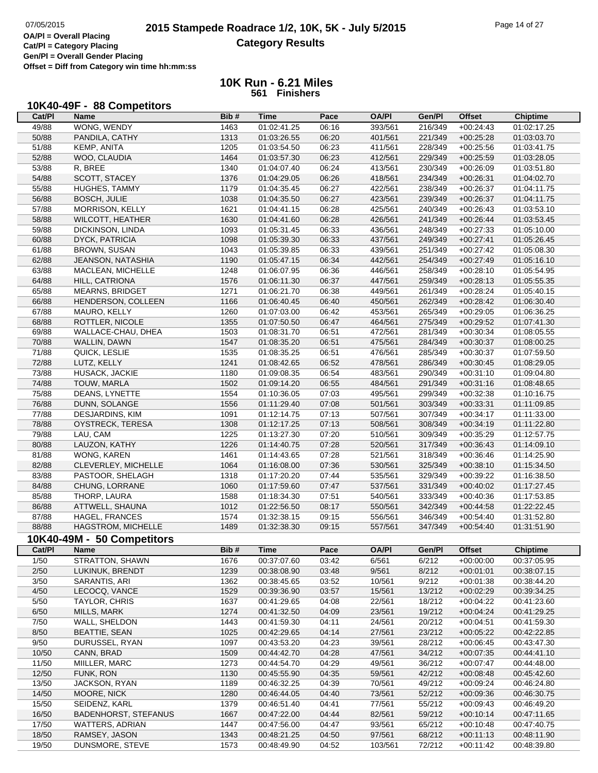٦

**Cat/Pl = Category Placing Gen/Pl = Overall Gender Placing Offset = Diff from Category win time hh:mm:ss**

## **10K Run - 6.21 Miles 561 Finishers**

# **10K40-49F - 88 Competitors**

| Cat/PI | <b>Name</b>                 | Bib# | <b>Time</b> | Pace  | <b>OA/PI</b> | Gen/Pl  | <b>Offset</b> | <b>Chiptime</b> |
|--------|-----------------------------|------|-------------|-------|--------------|---------|---------------|-----------------|
| 49/88  | WONG, WENDY                 | 1463 | 01:02:41.25 | 06:16 | 393/561      | 216/349 | $+00:24:43$   | 01:02:17.25     |
| 50/88  | PANDILA, CATHY              | 1313 | 01:03:26.55 | 06:20 | 401/561      | 221/349 | $+00:25:28$   | 01:03:03.70     |
| 51/88  | KEMP, ANITA                 | 1205 | 01:03:54.50 | 06:23 | 411/561      | 228/349 | $+00:25:56$   | 01:03:41.75     |
| 52/88  | WOO, CLAUDIA                | 1464 | 01:03:57.30 | 06:23 | 412/561      | 229/349 | $+00:25:59$   | 01:03:28.05     |
| 53/88  | R, BREE                     | 1340 | 01:04:07.40 | 06:24 | 413/561      | 230/349 | $+00:26:09$   | 01:03:51.80     |
| 54/88  | SCOTT, STACEY               | 1376 | 01:04:29.05 | 06:26 | 418/561      | 234/349 | $+00:26:31$   | 01:04:02.70     |
| 55/88  | HUGHES, TAMMY               | 1179 | 01:04:35.45 | 06:27 | 422/561      | 238/349 | $+00:26:37$   | 01:04:11.75     |
| 56/88  | <b>BOSCH, JULIE</b>         | 1038 | 01:04:35.50 | 06:27 | 423/561      | 239/349 | $+00:26:37$   | 01:04:11.75     |
| 57/88  | MORRISON, KELLY             | 1621 | 01:04:41.15 | 06:28 | 425/561      | 240/349 | $+00:26:43$   | 01:03:53.10     |
| 58/88  | <b>WILCOTT, HEATHER</b>     | 1630 | 01:04:41.60 | 06:28 | 426/561      | 241/349 | $+00:26:44$   | 01:03:53.45     |
| 59/88  | DICKINSON, LINDA            | 1093 | 01:05:31.45 | 06:33 | 436/561      | 248/349 | $+00:27:33$   | 01:05:10.00     |
| 60/88  | <b>DYCK, PATRICIA</b>       | 1098 | 01:05:39.30 | 06:33 | 437/561      | 249/349 | $+00:27:41$   | 01:05:26.45     |
| 61/88  | <b>BROWN, SUSAN</b>         | 1043 | 01:05:39.85 | 06:33 | 439/561      | 251/349 | $+00:27:42$   | 01:05:08.30     |
| 62/88  | JEANSON, NATASHIA           | 1190 | 01:05:47.15 | 06:34 | 442/561      | 254/349 | $+00:27:49$   | 01:05:16.10     |
| 63/88  | MACLEAN, MICHELLE           | 1248 | 01:06:07.95 | 06:36 | 446/561      | 258/349 | $+00:28:10$   | 01:05:54.95     |
| 64/88  | HILL, CATRIONA              | 1576 | 01:06:11.30 | 06:37 | 447/561      | 259/349 | $+00:28:13$   | 01:05:55.35     |
| 65/88  | <b>MEARNS, BRIDGET</b>      | 1271 | 01:06:21.70 | 06:38 | 449/561      | 261/349 | $+00:28:24$   | 01:05:40.15     |
| 66/88  | HENDERSON, COLLEEN          | 1166 | 01:06:40.45 | 06:40 | 450/561      | 262/349 | $+00:28:42$   | 01:06:30.40     |
| 67/88  | MAURO, KELLY                | 1260 | 01:07:03.00 | 06:42 | 453/561      | 265/349 | $+00:29:05$   | 01:06:36.25     |
| 68/88  | ROTTLER, NICOLE             | 1355 | 01:07:50.50 | 06:47 | 464/561      | 275/349 | $+00:29:52$   | 01:07:41.30     |
| 69/88  | WALLACE-CHAU, DHEA          | 1503 | 01:08:31.70 | 06:51 | 472/561      | 281/349 | $+00:30:34$   | 01:08:05.55     |
| 70/88  | WALLIN, DAWN                | 1547 | 01:08:35.20 | 06:51 | 475/561      | 284/349 | $+00:30:37$   | 01:08:00.25     |
| 71/88  | QUICK, LESLIE               | 1535 | 01:08:35.25 | 06:51 | 476/561      | 285/349 | $+00:30:37$   | 01:07:59.50     |
| 72/88  | LUTZ, KELLY                 | 1241 | 01:08:42.65 | 06:52 | 478/561      | 286/349 | $+00:30:45$   | 01:08:29.05     |
| 73/88  | HUSACK, JACKIE              | 1180 | 01:09:08.35 | 06:54 | 483/561      | 290/349 | $+00:31:10$   | 01:09:04.80     |
| 74/88  | TOUW, MARLA                 | 1502 | 01:09:14.20 | 06:55 | 484/561      | 291/349 | $+00:31:16$   | 01:08:48.65     |
| 75/88  | DEANS, LYNETTE              | 1554 | 01:10:36.05 | 07:03 | 495/561      | 299/349 | $+00:32:38$   | 01:10:16.75     |
| 76/88  | DUNN, SOLANGE               | 1556 | 01:11:29.40 | 07:08 | 501/561      | 303/349 | $+00:33:31$   | 01:11:09.85     |
| 77/88  | <b>DESJARDINS, KIM</b>      | 1091 | 01:12:14.75 | 07:13 | 507/561      | 307/349 | $+00:34:17$   | 01:11:33.00     |
| 78/88  | OYSTRECK, TERESA            | 1308 | 01:12:17.25 | 07:13 | 508/561      | 308/349 | $+00:34:19$   | 01:11:22.80     |
| 79/88  | LAU, CAM                    | 1225 | 01:13:27.30 | 07:20 | 510/561      | 309/349 | $+00:35:29$   | 01:12:57.75     |
| 80/88  | LAUZON, KATHY               | 1226 | 01:14:40.75 | 07:28 | 520/561      | 317/349 | $+00:36:43$   | 01:14:09.10     |
| 81/88  | WONG, KAREN                 | 1461 | 01:14:43.65 | 07:28 | 521/561      | 318/349 | $+00:36:46$   | 01:14:25.90     |
| 82/88  | CLEVERLEY, MICHELLE         | 1064 | 01:16:08.00 | 07:36 | 530/561      | 325/349 | $+00:38:10$   | 01:15:34.50     |
| 83/88  | PASTOOR, SHELAGH            | 1318 | 01:17:20.20 | 07:44 | 535/561      | 329/349 | $+00:39:22$   | 01:16:38.50     |
| 84/88  | CHUNG, LORRANE              | 1060 | 01:17:59.60 | 07:47 | 537/561      | 331/349 | $+00:40:02$   | 01:17:27.45     |
| 85/88  | THORP, LAURA                | 1588 | 01:18:34.30 | 07:51 | 540/561      | 333/349 | $+00:40:36$   | 01:17:53.85     |
| 86/88  | ATTWELL, SHAUNA             | 1012 | 01:22:56.50 | 08:17 | 550/561      | 342/349 | $+00:44:58$   | 01:22:22.45     |
| 87/88  | HAGEL, FRANCES              | 1574 | 01:32:38.15 | 09:15 | 556/561      | 346/349 | $+00:54:40$   | 01:31:52.80     |
| 88/88  | HAGSTROM, MICHELLE          | 1489 | 01:32:38.30 | 09:15 | 557/561      | 347/349 | $+00.54:40$   | 01:31:51.90     |
|        | 10K40-49M - 50 Competitors  |      |             |       |              |         |               |                 |
| Cat/PI | Name                        | Bib# | <b>Time</b> | Pace  | <b>OA/PI</b> | Gen/Pl  | <b>Offset</b> | Chiptime        |
| 1/50   | STRATTON, SHAWN             | 1676 | 00:37:07.60 | 03:42 | 6/561        | 6/212   | $+00:00:00$   | 00:37:05.95     |
| 2/50   | LUKINUK, BRENDT             | 1239 | 00:38:08.90 | 03:48 | 9/561        | 8/212   | $+00:01:01$   | 00:38:07.15     |
| 3/50   | SARANTIS, ARI               | 1362 | 00:38:45.65 | 03:52 | 10/561       | 9/212   | $+00:01:38$   | 00:38:44.20     |
| 4/50   | LECOCQ, VANCE               | 1529 | 00:39:36.90 | 03:57 | 15/561       | 13/212  | $+00:02:29$   | 00:39:34.25     |
| 5/50   | TAYLOR, CHRIS               | 1637 | 00:41:29.65 | 04:08 | 22/561       | 18/212  | $+00:04:22$   | 00:41:23.60     |
| 6/50   | MILLS, MARK                 | 1274 | 00:41:32.50 | 04:09 | 23/561       | 19/212  | $+00:04:24$   | 00:41:29.25     |
| 7/50   | WALL, SHELDON               | 1443 | 00:41:59.30 | 04:11 | 24/561       | 20/212  | $+00:04:51$   | 00:41:59.30     |
| 8/50   | <b>BEATTIE, SEAN</b>        | 1025 | 00:42:29.65 | 04:14 | 27/561       | 23/212  | $+00:05:22$   | 00:42:22.85     |
| 9/50   | DURUSSEL, RYAN              | 1097 | 00:43:53.20 | 04:23 | 39/561       | 28/212  | $+00:06:45$   | 00:43:47.30     |
| 10/50  | CANN, BRAD                  | 1509 | 00:44:42.70 | 04:28 | 47/561       | 34/212  | $+00:07:35$   | 00:44:41.10     |
| 11/50  | MIILLER, MARC               | 1273 | 00:44:54.70 | 04:29 | 49/561       | 36/212  | $+00:07:47$   | 00:44:48.00     |
| 12/50  | FUNK, RON                   | 1130 | 00:45:55.90 | 04:35 | 59/561       | 42/212  | $+00:08:48$   | 00:45:42.60     |
| 13/50  | JACKSON, RYAN               | 1189 | 00:46:32.25 | 04:39 | 70/561       | 49/212  | $+00:09:24$   | 00:46:24.80     |
| 14/50  | MOORE, NICK                 | 1280 | 00:46:44.05 | 04:40 | 73/561       | 52/212  | $+00:09:36$   | 00:46:30.75     |
| 15/50  | SEIDENZ, KARL               | 1379 | 00:46:51.40 | 04:41 | 77/561       | 55/212  | $+00:09:43$   | 00:46:49.20     |
| 16/50  | <b>BADENHORST, STEFANUS</b> | 1667 | 00:47:22.00 | 04:44 | 82/561       | 59/212  | $+00:10:14$   | 00:47:11.65     |
| 17/50  | <b>WATTERS, ADRIAN</b>      | 1447 | 00:47:56.00 | 04:47 | 93/561       | 65/212  | $+00:10:48$   | 00:47:40.75     |
| 18/50  | RAMSEY, JASON               | 1343 | 00:48:21.25 | 04:50 | 97/561       | 68/212  | $+00:11:13$   | 00:48:11.90     |
| 19/50  | DUNSMORE, STEVE             | 1573 | 00:48:49.90 | 04:52 | 103/561      | 72/212  | $+00:11:42$   | 00:48:39.80     |
|        |                             |      |             |       |              |         |               |                 |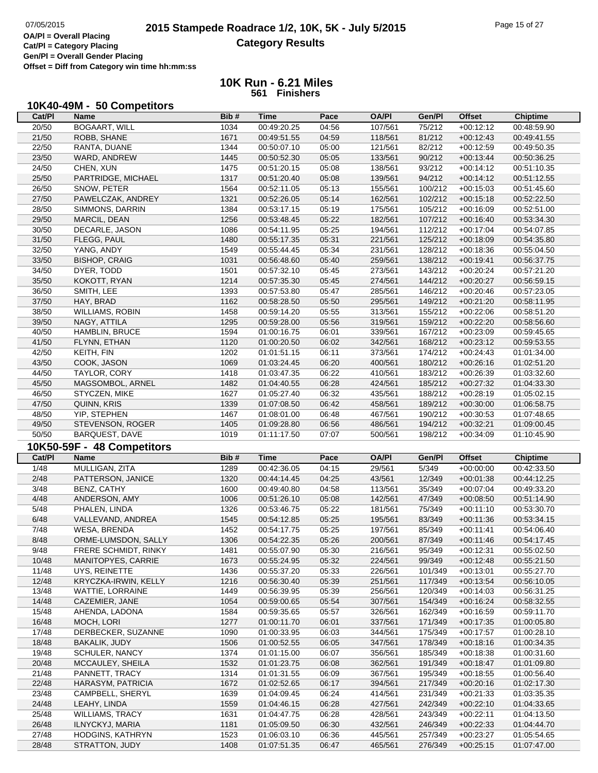| 10K40-49M - 50 Competitors |  |
|----------------------------|--|
|----------------------------|--|

| Cat/PI         | Name                                      | Bib#         | <b>Time</b>                | Pace           | <b>OA/PI</b>       | Gen/Pl             | <b>Offset</b>              | <b>Chiptime</b>            |
|----------------|-------------------------------------------|--------------|----------------------------|----------------|--------------------|--------------------|----------------------------|----------------------------|
| 20/50          | <b>BOGAART, WILL</b>                      | 1034         | 00:49:20.25                | 04:56          | 107/561            | 75/212             | $+00:12:12$                | 00:48:59.90                |
| 21/50          | ROBB, SHANE                               | 1671         | 00:49:51.55                | 04:59          | 118/561            | 81/212             | $+00:12:43$                | 00:49:41.55                |
| 22/50          | RANTA, DUANE                              | 1344         | 00:50:07.10                | 05:00          | 121/561            | 82/212             | $+00:12:59$                | 00:49:50.35                |
| 23/50          | WARD, ANDREW                              | 1445         | 00:50:52.30                | 05:05          | 133/561            | 90/212             | $+00:13:44$                | 00:50:36.25                |
| 24/50          | CHEN, XUN                                 | 1475         | 00:51:20.15                | 05:08          | 138/561            | 93/212             | $+00:14:12$                | 00:51:10.35                |
| 25/50          | PARTRIDGE, MICHAEL                        | 1317         | 00:51:20.40                | 05:08          | 139/561            | 94/212             | $+00:14:12$                | 00:51:12.55                |
| 26/50          | SNOW, PETER                               | 1564         | 00:52:11.05                | 05:13          | 155/561            | 100/212            | $+00:15:03$                | 00:51:45.60                |
| 27/50          | PAWELCZAK, ANDREY                         | 1321         | 00:52:26.05                | 05:14          | 162/561            | 102/212            | $+00:15:18$                | 00:52:22.50                |
| 28/50          | SIMMONS, DARRIN                           | 1384         | 00:53:17.15                | 05:19          | 175/561            | 105/212            | $+00:16:09$                | 00:52:51.00                |
| 29/50          | MARCIL, DEAN                              | 1256         | 00:53:48.45                | 05:22          | 182/561            | 107/212            | $+00:16:40$                | 00:53:34.30                |
| 30/50          | DECARLE, JASON                            | 1086         | 00:54:11.95                | 05:25          | 194/561            | 112/212            | $+00:17:04$                | 00:54:07.85                |
| 31/50          | FLEGG, PAUL                               | 1480         | 00:55:17.35                | 05:31          | 221/561            | 125/212            | $+00:18:09$                | 00:54:35.80                |
| 32/50          | YANG, ANDY                                | 1549         | 00:55:44.45                | 05:34          | 231/561            | 128/212            | $+00:18:36$                | 00:55:04.50                |
| 33/50          | <b>BISHOP, CRAIG</b>                      | 1031         | 00:56:48.60                | 05:40          | 259/561            | 138/212            | $+00:19:41$                | 00:56:37.75                |
| 34/50          | DYER, TODD                                |              |                            |                |                    |                    |                            |                            |
| 35/50          |                                           | 1501         | 00:57:32.10                | 05:45          | 273/561            | 143/212            | $+00:20:24$                | 00:57:21.20                |
|                | KOKOTT, RYAN                              | 1214         | 00:57:35.30                | 05:45          | 274/561            | 144/212            | $+00:20:27$                | 00:56:59.15                |
| 36/50          | SMITH, LEE                                | 1393         | 00:57:53.80                | 05:47          | 285/561            | 146/212            | $+00:20:46$                | 00:57:23.05                |
| 37/50          | HAY, BRAD                                 | 1162         | 00:58:28.50                | 05:50          | 295/561            | 149/212            | $+00:21:20$                | 00:58:11.95                |
| 38/50          | WILLIAMS, ROBIN                           | 1458         | 00:59:14.20                | 05:55          | 313/561            | 155/212            | $+00:22:06$                | 00:58:51.20                |
| 39/50          | NAGY, ATTILA                              | 1295         | 00:59:28.00                | 05:56          | 319/561            | 159/212            | $+00:22:20$                | 00:58:56.60                |
| 40/50          | HAMBLIN, BRUCE                            | 1594         | 01:00:16.75                | 06:01          | 339/561            | 167/212            | $+00:23:09$                | 00:59:45.65                |
| 41/50          | FLYNN, ETHAN                              | 1120         | 01:00:20.50                | 06:02          | 342/561            | 168/212            | $+00:23:12$                | 00:59:53.55                |
| 42/50          | KEITH, FIN                                | 1202         | 01:01:51.15                | 06:11          | 373/561            | 174/212            | $+00:24:43$                | 01:01:34.00                |
| 43/50          | COOK, JASON                               | 1069         | 01:03:24.45                | 06:20          | 400/561            | 180/212            | $+00:26:16$                | 01:02:51.20                |
| 44/50          | TAYLOR, CORY                              | 1418         | 01:03:47.35                | 06:22          | 410/561            | 183/212            | $+00:26:39$                | 01:03:32.60                |
| 45/50          | MAGSOMBOL, ARNEL                          | 1482         | 01:04:40.55                | 06:28          | 424/561            | 185/212            | $+00:27:32$                | 01:04:33.30                |
| 46/50          | STYCZEN, MIKE                             | 1627         | 01:05:27.40                | 06:32          | 435/561            | 188/212            | $+00:28:19$                | 01:05:02.15                |
| 47/50          | QUINN, KRIS                               | 1339         | 01:07:08.50                | 06:42          | 458/561            | 189/212            | $+00:30:00$                | 01:06:58.75                |
| 48/50          | YIP, STEPHEN                              | 1467         | 01:08:01.00                | 06:48          | 467/561            | 190/212            | $+00:30:53$                | 01:07:48.65                |
| 49/50          | STEVENSON, ROGER                          | 1405         | 01:09:28.80                | 06:56          | 486/561            | 194/212            | $+00:32:21$                | 01:09:00.45                |
|                |                                           |              |                            |                |                    |                    |                            |                            |
| 50/50          | BARQUEST, DAVE                            | 1019         | 01:11:17.50                | 07:07          | 500/561            | 198/212            | $+00:34:09$                | 01:10:45.90                |
|                |                                           |              |                            |                |                    |                    |                            |                            |
| Cat/PI         | 10K50-59F - 48 Competitors<br><b>Name</b> | Bib#         | <b>Time</b>                | Pace           | <b>OA/PI</b>       | Gen/Pl             | <b>Offset</b>              | <b>Chiptime</b>            |
|                |                                           | 1289         | 00:42:36.05                |                |                    |                    | $+00:00:00$                | 00:42:33.50                |
| 1/48           | MULLIGAN, ZITA                            |              |                            | 04:15          | 29/561             | 5/349              |                            |                            |
| 2/48           | PATTERSON, JANICE                         | 1320         | 00:44:14.45                | 04:25          | 43/561             | 12/349             | $+00:01:38$                | 00:44:12.25                |
| 3/48           | BENZ, CATHY                               | 1600         | 00:49:40.80                | 04:58          | 113/561            | 35/349             | $+00:07:04$                | 00:49:33.20                |
| 4/48           | ANDERSON, AMY                             | 1006         | 00:51:26.10                | 05:08          | 142/561            | 47/349             | $+00:08:50$                | 00:51:14.90                |
| 5/48           | PHALEN, LINDA                             | 1326         | 00:53:46.75                | 05:22          | 181/561            | 75/349             | $+00:11:10$                | 00:53:30.70                |
| 6/48           | VALLEVAND, ANDREA                         | 1545         | 00:54:12.85                | 05:25          | 195/561            | 83/349             | $+00:11:36$                | 00:53:34.15                |
| 7/48           | WESA, BRENDA                              | 1452         | 00:54:17.75                | 05:25          | 197/561            | 85/349             | $+00:11:41$                | 00:54:06.40                |
| 8/48           | ORME-LUMSDON, SALLY                       | 1306         | 00:54:22.35                | 05:26          | 200/561            | 87/349             | $+00:11:46$                | 00:54:17.45                |
| 9/48           | FRERE SCHMIDT, RINKY                      | 1481         | 00:55:07.90                | 05:30          | 216/561            | 95/349             | $+00:12:31$                | 00:55:02.50                |
| 10/48          | MANITOPYES, CARRIE                        | 1673         | 00:55:24.95                | 05:32          | 224/561            | 99/349             | $+00:12:48$                | 00:55:21.50                |
| 11/48          | UYS, REINETTE                             | 1436         | 00:55:37.20                | 05:33          | 226/561            | 101/349            | $+00:13:01$                | 00:55:27.70                |
| 12/48          | KRYCZKA-IRWIN, KELLY                      | 1216         | 00:56:30.40                | 05:39          | 251/561            | 117/349            | $+00:13:54$                | 00:56:10.05                |
| 13/48          | WATTIE, LORRAINE                          | 1449         | 00:56:39.95                | 05:39          | 256/561            | 120/349            | $+00:14:03$                | 00:56:31.25                |
| 14/48          | CAZEMIER, JANE                            | 1054         | 00:59:00.65                | 05:54          | 307/561            | 154/349            | $+00:16:24$                | 00:58:32.55                |
| 15/48          | AHENDA, LADONA                            | 1584         | 00:59:35.65                | 05:57          | 326/561            | 162/349            | $+00:16:59$                | 00:59:11.70                |
| 16/48          | MOCH, LORI                                | 1277         | 01:00:11.70                | 06:01          | 337/561            | 171/349            | $+00:17:35$                | 01:00:05.80                |
| 17/48          | DERBECKER, SUZANNE                        | 1090         | 01:00:33.95                | 06:03          | 344/561            | 175/349            | $+00:17:57$                | 01:00:28.10                |
| 18/48          | BAKALIK, JUDY                             | 1506         | 01:00:52.55                | 06:05          | 347/561            | 178/349            | $+00:18:16$                | 01:00:34.35                |
| 19/48          | <b>SCHULER, NANCY</b>                     | 1374         | 01:01:15.00                | 06:07          | 356/561            | 185/349            | $+00:18:38$                | 01:00:31.60                |
| 20/48          | MCCAULEY, SHEILA                          | 1532         | 01:01:23.75                | 06:08          | 362/561            | 191/349            | $+00:18:47$                | 01:01:09.80                |
| 21/48          | PANNETT, TRACY                            | 1314         | 01:01:31.55                | 06:09          | 367/561            | 195/349            | $+00:18:55$                | 01:00:56.40                |
| 22/48          | HARASYM, PATRICIA                         | 1672         | 01:02:52.65                | 06:17          | 394/561            | 217/349            | $+00:20:16$                | 01:02:17.30                |
| 23/48          | CAMPBELL, SHERYL                          | 1639         | 01:04:09.45                | 06:24          | 414/561            | 231/349            | $+00:21:33$                | 01:03:35.35                |
| 24/48          | LEAHY, LINDA                              | 1559         | 01:04:46.15                | 06:28          | 427/561            | 242/349            | $+00:22:10$                | 01:04:33.65                |
| 25/48          | <b>WILLIAMS, TRACY</b>                    | 1631         | 01:04:47.75                | 06:28          | 428/561            | 243/349            | $+00:22:11$                | 01:04:13.50                |
| 26/48          | ILNYCKYJ, MARIA                           | 1181         | 01:05:09.50                | 06:30          | 432/561            | 246/349            | $+00:22:33$                | 01:04:44.70                |
| 27/48<br>28/48 | <b>HODGINS, KATHRYN</b><br>STRATTON, JUDY | 1523<br>1408 | 01:06:03.10<br>01:07:51.35 | 06:36<br>06:47 | 445/561<br>465/561 | 257/349<br>276/349 | $+00:23:27$<br>$+00:25:15$ | 01:05:54.65<br>01:07:47.00 |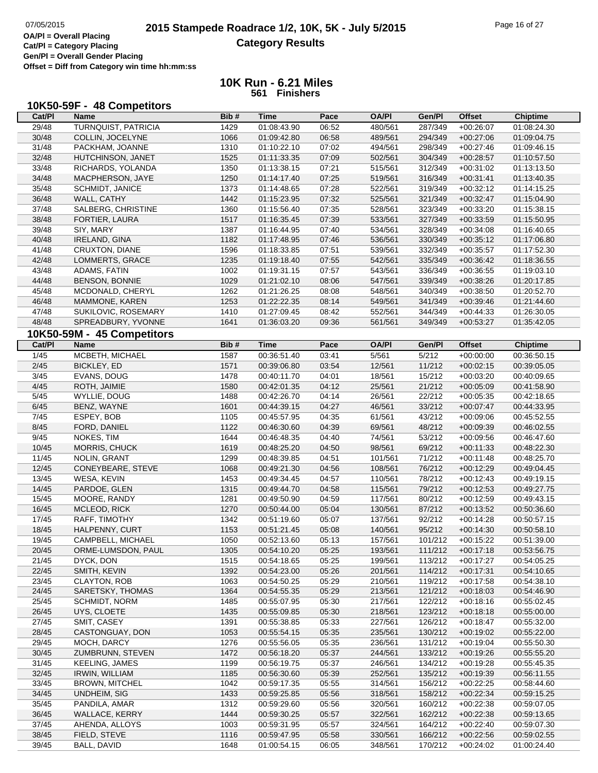| Cat/PI         | 10K50-59F - 48 Competitors<br><b>Name</b> | Bib#         | <b>Time</b>                | Pace           | <b>OA/PI</b>     | Gen/Pl           | <b>Offset</b>              | <b>Chiptime</b>            |
|----------------|-------------------------------------------|--------------|----------------------------|----------------|------------------|------------------|----------------------------|----------------------------|
| 29/48          | <b>TURNQUIST, PATRICIA</b>                | 1429         | 01:08:43.90                | 06:52          | 480/561          | 287/349          | $+00:26:07$                | 01:08:24.30                |
| 30/48          | COLLIN, JOCELYNE                          | 1066         | 01:09:42.80                | 06:58          | 489/561          | 294/349          | $+00:27:06$                | 01:09:04.75                |
| 31/48          | PACKHAM, JOANNE                           | 1310         | 01:10:22.10                | 07:02          | 494/561          | 298/349          | $+00:27:46$                | 01:09:46.15                |
| 32/48          | HUTCHINSON, JANET                         | 1525         | 01:11:33.35                | 07:09          | 502/561          | 304/349          | $+00:28:57$                | 01:10:57.50                |
| 33/48          | RICHARDS, YOLANDA                         | 1350         | 01:13:38.15                | 07:21          | 515/561          | 312/349          | $+00:31:02$                | 01:13:13.50                |
| 34/48          | MACPHERSON, JAYE                          | 1250         | 01:14:17.40                | 07:25          | 519/561          | 316/349          | $+00:31:41$                | 01:13:40.35                |
| 35/48          | <b>SCHMIDT, JANICE</b>                    | 1373         | 01:14:48.65                | 07:28          | 522/561          | 319/349          | $+00:32:12$                | 01:14:15.25                |
| 36/48          | WALL, CATHY                               | 1442         | 01:15:23.95                | 07:32          | 525/561          | 321/349          | $+00:32:47$                |                            |
| 37/48          | SALBERG, CHRISTINE                        | 1360         | 01:15:56.40                | 07:35          | 528/561          | 323/349          | $+00:33:20$                | 01:15:04.90<br>01:15:38.15 |
| 38/48          | FORTIER, LAURA                            | 1517         | 01:16:35.45                | 07:39          | 533/561          | 327/349          | $+00:33:59$                | 01:15:50.95                |
| 39/48          | SIY, MARY                                 | 1387         | 01:16:44.95                | 07:40          | 534/561          | 328/349          | $+00:34:08$                | 01:16:40.65                |
| 40/48          | <b>IRELAND, GINA</b>                      | 1182         | 01:17:48.95                | 07:46          | 536/561          | 330/349          | $+00:35:12$                | 01:17:06.80                |
| 41/48          | CRUXTON, DIANE                            | 1596         | 01:18:33.85                | 07:51          | 539/561          | 332/349          | $+00:35:57$                | 01:17:52.30                |
| 42/48          | LOMMERTS, GRACE                           | 1235         | 01:19:18.40                | 07:55          | 542/561          | 335/349          | $+00:36:42$                | 01:18:36.55                |
| 43/48          | ADAMS, FATIN                              | 1002         | 01:19:31.15                | 07:57          | 543/561          | 336/349          | $+00:36:55$                | 01:19:03.10                |
| 44/48          | <b>BENSON, BONNIE</b>                     | 1029         | 01:21:02.10                | 08:06          | 547/561          | 339/349          | $+00:38:26$                | 01:20:17.85                |
| 45/48          | MCDONALD, CHERYL                          | 1262         | 01:21:26.25                | 08:08          | 548/561          | 340/349          | $+00:38:50$                | 01:20:52.70                |
| 46/48          | MAMMONE, KAREN                            | 1253         | 01:22:22.35                | 08:14          | 549/561          | 341/349          | $+00:39:46$                | 01:21:44.60                |
| 47/48          | SUKILOVIC, ROSEMARY                       | 1410         | 01:27:09.45                | 08:42          | 552/561          | 344/349          | $+00:44:33$                | 01:26:30.05                |
| 48/48          | SPREADBURY, YVONNE                        | 1641         | 01:36:03.20                | 09:36          | 561/561          | 349/349          | $+00:53:27$                | 01:35:42.05                |
|                |                                           |              |                            |                |                  |                  |                            |                            |
|                | 10K50-59M - 45 Competitors                |              |                            |                |                  |                  |                            |                            |
| Cat/PI         | Name                                      | Bib#         | <b>Time</b>                | Pace           | <b>OA/PI</b>     | Gen/Pl           | <b>Offset</b>              | <b>Chiptime</b>            |
| $\frac{1}{45}$ | MCBETH, MICHAEL<br><b>BICKLEY, ED</b>     | 1587         | 00:36:51.40<br>00:39:06.80 | 03:41<br>03:54 | 5/561            | 5/212            | $+00:00:00$                | 00:36:50.15                |
| 2/45           |                                           | 1571         |                            |                | 12/561           | 11/212           | $+00:02:15$<br>$+00:03:20$ | 00:39:05.05                |
| $3/45$         | EVANS, DOUG                               | 1478         | 00:40:11.70                | 04:01          | 18/561           | 15/212           |                            | 00:40:09.65                |
| 4/45           | ROTH, JAIMIE                              | 1580         | 00:42:01.35                | 04:12          | 25/561           | 21/212           | $+00:05:09$                | 00:41:58.90                |
| $5/45$         | WYLLIE, DOUG                              | 1488         | 00:42:26.70                | 04:14          | 26/561           | 22/212           | $+00:05:35$                | 00:42:18.65                |
| 6/45           | BENZ, WAYNE                               | 1601         | 00:44:39.15                | 04:27          | 46/561           | 33/212           | $+00:07:47$                | 00:44:33.95                |
| 7/45           | ESPEY, BOB                                | 1105         | 00:45:57.95                | 04:35          | 61/561           | 43/212           | $+00:09:06$                | 00:45:52.55                |
| 8/45<br>9/45   | FORD, DANIEL                              | 1122<br>1644 | 00:46:30.60                | 04:39          | 69/561           | 48/212           | $+00:09:39$                | 00:46:02.55                |
| 10/45          | NOKES, TIM                                | 1619         | 00:46:48.35<br>00:48:25.20 | 04:40<br>04:50 | 74/561<br>98/561 | 53/212<br>69/212 | $+00:09:56$<br>$+00:11:33$ | 00:46:47.60<br>00:48:22.30 |
| 11/45          | MORRIS, CHUCK<br>NOLIN, GRANT             | 1299         | 00:48:39.85                | 04:51          | 101/561          | 71/212           | $+00:11:48$                | 00:48:25.70                |
| 12/45          | CONEYBEARE, STEVE                         | 1068         | 00:49:21.30                | 04:56          | 108/561          | 76/212           |                            | 00:49:04.45                |
| 13/45          | WESA, KEVIN                               | 1453         | 00:49:34.45                | 04:57          | 110/561          | 78/212           | $+00:12:29$<br>$+00:12:43$ | 00:49:19.15                |
| 14/45          | PARDOE, GLEN                              | 1315         | 00:49:44.70                | 04:58          | 115/561          | 79/212           | $+00:12:53$                | 00:49:27.75                |
| 15/45          | MOORE, RANDY                              | 1281         | 00:49:50.90                | 04:59          | 117/561          | 80/212           | $+00:12:59$                | 00:49:43.15                |
| 16/45          | MCLEOD, RICK                              | 1270         | 00:50:44.00                | 05:04          | 130/561          | 87/212           | $+00:13:52$                | 00:50:36.60                |
| 17/45          | RAFF, TIMOTHY                             | 1342         | 00:51:19.60                | 05:07          | 137/561          | 92/212           | $+00:14:28$                | 00:50:57.15                |
| 18/45          | HALPENNY, CURT                            | 1153         | 00:51:21.45                | 05:08          | 140/561          | 95/212           | $+00:14:30$                | 00:50:58.10                |
| 19/45          | CAMPBELL, MICHAEL                         | 1050         | 00:52:13.60                | 05:13          | 157/561          | 101/212          | $+00:15:22$                | 00:51:39.00                |
| 20/45          | ORME-LUMSDON, PAUL                        | 1305         | 00:54:10.20                | 05:25          | 193/561          | 111/212          | $+00:17:18$                | 00:53:56.75                |
| 21/45          | DYCK, DON                                 | 1515         | 00:54:18.65                | 05:25          | 199/561          | 113/212          | $+00:17:27$                | 00:54:05.25                |
| 22/45          | SMITH, KEVIN                              | 1392         | 00:54:23.00                | 05:26          | 201/561          | 114/212          | $+00:17:31$                | 00:54:10.65                |
| 23/45          | CLAYTON, ROB                              | 1063         | 00:54:50.25                | 05:29          | 210/561          | 119/212          | $+00:17:58$                | 00:54:38.10                |
| 24/45          | SARETSKY, THOMAS                          | 1364         | 00:54:55.35                | 05:29          | 213/561          | 121/212          | $+00:18:03$                | 00:54:46.90                |
| 25/45          | SCHMIDT, NORM                             | 1485         | 00:55:07.95                | 05:30          | 217/561          | 122/212          | $+00:18:16$                | 00:55:02.45                |
| 26/45          | UYS, CLOETE                               | 1435         | 00:55:09.85                | 05:30          | 218/561          | 123/212          | $+00:18:18$                | 00:55:00.00                |
| 27/45          | SMIT, CASEY                               | 1391         | 00:55:38.85                | 05:33          | 227/561          | 126/212          | $+00:18:47$                | 00:55:32.00                |
| 28/45          | CASTONGUAY, DON                           | 1053         | 00:55:54.15                | 05:35          | 235/561          | 130/212          | $+00:19:02$                | 00:55:22.00                |
| 29/45          | MOCH, DARCY                               | 1276         | 00:55:56.05                | 05:35          | 236/561          | 131/212          | $+00:19:04$                | 00:55:50.30                |
| 30/45          | ZUMBRUNN, STEVEN                          | 1472         | 00:56:18.20                | 05:37          | 244/561          | 133/212          | $+00:19:26$                | 00:55:55.20                |
| 31/45          | <b>KEELING, JAMES</b>                     | 1199         | 00:56:19.75                | 05:37          | 246/561          | 134/212          | $+00:19:28$                | 00:55:45.35                |
| 32/45          | IRWIN, WILLIAM                            | 1185         | 00:56:30.60                | 05:39          | 252/561          | 135/212          | $+00:19:39$                | 00:56:11.55                |
| 33/45          | <b>BROWN, MITCHEL</b>                     | 1042         | 00:59:17.35                | 05:55          | 314/561          | 156/212          | $+00:22:25$                | 00:58:44.60                |
| 34/45          | UNDHEIM, SIG                              | 1433         | 00:59:25.85                | 05:56          | 318/561          | 158/212          | $+00:22:34$                | 00:59:15.25                |
| 35/45          | PANDILA, AMAR                             | 1312         | 00:59:29.60                | 05:56          | 320/561          | 160/212          | $+00:22:38$                | 00:59:07.05                |
| 36/45          | <b>WALLACE, KERRY</b>                     | 1444         | 00:59:30.25                | 05:57          | 322/561          | 162/212          | $+00:22:38$                | 00:59:13.65                |
| 37/45          | AHENDA, ALLOYS                            | 1003         | 00:59:31.95                | 05:57          | 324/561          | 164/212          | $+00:22:40$                | 00:59:07.30                |
| 38/45          | FIELD, STEVE                              | 1116         | 00:59:47.95                | 05:58          | 330/561          | 166/212          | $+00:22:56$                | 00:59:02.55                |
| 39/45          | BALL, DAVID                               | 1648         | 01:00:54.15                | 06:05          | 348/561          | 170/212          | $+00:24:02$                | 01:00:24.40                |